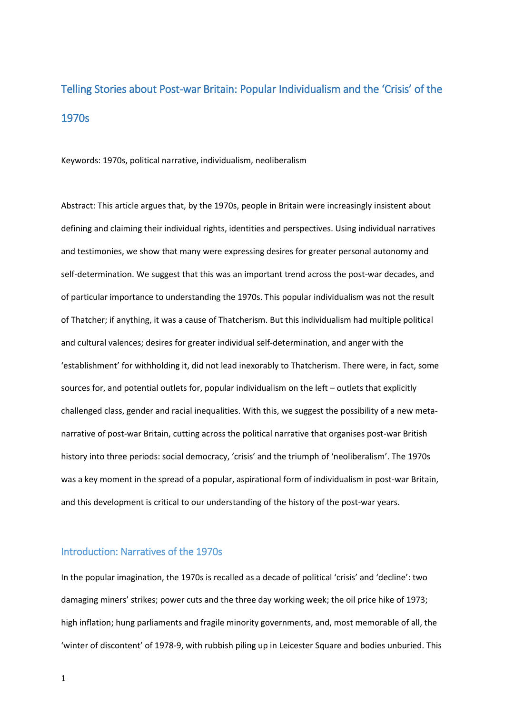# Telling Stories about Post-war Britain: Popular Individualism and the 'Crisis' of the 1970s

Keywords: 1970s, political narrative, individualism, neoliberalism

Abstract: This article argues that, by the 1970s, people in Britain were increasingly insistent about defining and claiming their individual rights, identities and perspectives. Using individual narratives and testimonies, we show that many were expressing desires for greater personal autonomy and self-determination. We suggest that this was an important trend across the post-war decades, and of particular importance to understanding the 1970s. This popular individualism was not the result of Thatcher; if anything, it was a cause of Thatcherism. But this individualism had multiple political and cultural valences; desires for greater individual self-determination, and anger with the 'establishment' for withholding it, did not lead inexorably to Thatcherism. There were, in fact, some sources for, and potential outlets for, popular individualism on the left – outlets that explicitly challenged class, gender and racial inequalities. With this, we suggest the possibility of a new metanarrative of post-war Britain, cutting across the political narrative that organises post-war British history into three periods: social democracy, 'crisis' and the triumph of 'neoliberalism'. The 1970s was a key moment in the spread of a popular, aspirational form of individualism in post-war Britain, and this development is critical to our understanding of the history of the post-war years.

## Introduction: Narratives of the 1970s

In the popular imagination, the 1970s is recalled as a decade of political 'crisis' and 'decline': two damaging miners' strikes; power cuts and the three day working week; the oil price hike of 1973; high inflation; hung parliaments and fragile minority governments, and, most memorable of all, the 'winter of discontent' of 1978-9, with rubbish piling up in Leicester Square and bodies unburied. This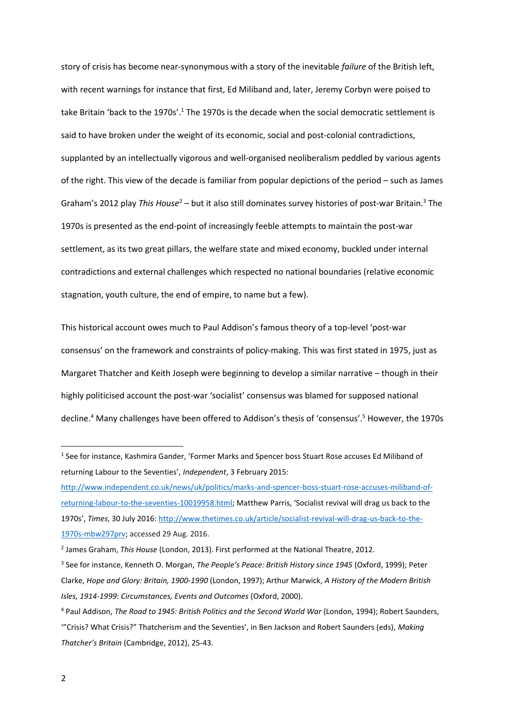story of crisis has become near-synonymous with a story of the inevitable *failure* of the British left, with recent warnings for instance that first, Ed Miliband and, later, Jeremy Corbyn were poised to take Britain 'back to the 1970s'.<sup>1</sup> The 1970s is the decade when the social democratic settlement is said to have broken under the weight of its economic, social and post-colonial contradictions, supplanted by an intellectually vigorous and well-organised neoliberalism peddled by various agents of the right. This view of the decade is familiar from popular depictions of the period – such as James Graham's 2012 play *This House*<sup>2</sup> – but it also still dominates survey histories of post-war Britain.<sup>3</sup> The 1970s is presented as the end-point of increasingly feeble attempts to maintain the post-war settlement, as its two great pillars, the welfare state and mixed economy, buckled under internal contradictions and external challenges which respected no national boundaries (relative economic stagnation, youth culture, the end of empire, to name but a few).

This historical account owes much to Paul Addison's famous theory of a top-level 'post-war consensus' on the framework and constraints of policy-making. This was first stated in 1975, just as Margaret Thatcher and Keith Joseph were beginning to develop a similar narrative – though in their highly politicised account the post-war 'socialist' consensus was blamed for supposed national decline.<sup>4</sup> Many challenges have been offered to Addison's thesis of 'consensus'.<sup>5</sup> However, the 1970s

[http://www.independent.co.uk/news/uk/politics/marks-and-spencer-boss-stuart-rose-accuses-miliband-of](http://www.independent.co.uk/news/uk/politics/marks-and-spencer-boss-stuart-rose-accuses-miliband-of-returning-labour-to-the-seventies-10019958.html)[returning-labour-to-the-seventies-10019958.html](http://www.independent.co.uk/news/uk/politics/marks-and-spencer-boss-stuart-rose-accuses-miliband-of-returning-labour-to-the-seventies-10019958.html); Matthew Parris, 'Socialist revival will drag us back to the 1970s', *Times*, 30 July 2016: [http://www.thetimes.co.uk/article/socialist-revival-will-drag-us-back-to-the-](http://www.thetimes.co.uk/article/socialist-revival-will-drag-us-back-to-the-1970s-mbw297prv)[1970s-mbw297prv;](http://www.thetimes.co.uk/article/socialist-revival-will-drag-us-back-to-the-1970s-mbw297prv) accessed 29 Aug. 2016.

<sup>1</sup> See for instance, Kashmira Gander, 'Former Marks and Spencer boss Stuart Rose accuses Ed Miliband of returning Labour to the Seventies', *Independent*, 3 February 2015:

<sup>2</sup> James Graham, *This House* (London, 2013). First performed at the National Theatre, 2012.

<sup>3</sup> See for instance, Kenneth O. Morgan, *The People's Peace: British History since 1945* (Oxford, 1999); Peter Clarke, *Hope and Glory: Britain, 1900-1990* (London, 1997); Arthur Marwick, *A History of the Modern British Isles, 1914-1999: Circumstances, Events and Outcomes* (Oxford, 2000).

<sup>4</sup> Paul Addison, *The Road to 1945: British Politics and the Second World War* (London, 1994); Robert Saunders, '"Crisis? What Crisis?" Thatcherism and the Seventies', in Ben Jackson and Robert Saunders (eds), *Making Thatcher's Britain* (Cambridge, 2012), 25-43.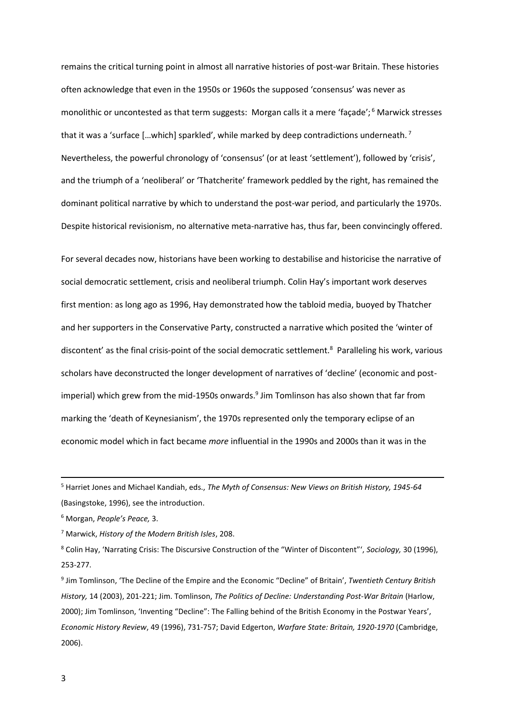remains the critical turning point in almost all narrative histories of post-war Britain. These histories often acknowledge that even in the 1950s or 1960s the supposed 'consensus' was never as monolithic or uncontested as that term suggests: Morgan calls it a mere 'façade';<sup>6</sup> Marwick stresses that it was a 'surface [...which] sparkled', while marked by deep contradictions underneath.<sup>7</sup> Nevertheless, the powerful chronology of 'consensus' (or at least 'settlement'), followed by 'crisis', and the triumph of a 'neoliberal' or 'Thatcherite' framework peddled by the right, has remained the dominant political narrative by which to understand the post-war period, and particularly the 1970s. Despite historical revisionism, no alternative meta-narrative has, thus far, been convincingly offered.

For several decades now, historians have been working to destabilise and historicise the narrative of social democratic settlement, crisis and neoliberal triumph. Colin Hay's important work deserves first mention: as long ago as 1996, Hay demonstrated how the tabloid media, buoyed by Thatcher and her supporters in the Conservative Party, constructed a narrative which posited the 'winter of discontent' as the final crisis-point of the social democratic settlement.<sup>8</sup> Paralleling his work, various scholars have deconstructed the longer development of narratives of 'decline' (economic and postimperial) which grew from the mid-1950s onwards.<sup>9</sup> Jim Tomlinson has also shown that far from marking the 'death of Keynesianism', the 1970s represented only the temporary eclipse of an economic model which in fact became *more* influential in the 1990s and 2000s than it was in the

<sup>5</sup> Harriet Jones and Michael Kandiah, eds., *The Myth of Consensus: New Views on British History, 1945-64* (Basingstoke, 1996), see the introduction.

<sup>6</sup> Morgan, *People's Peace,* 3.

<sup>7</sup> Marwick, *History of the Modern British Isles*, 208.

<sup>8</sup> Colin Hay, 'Narrating Crisis: The Discursive Construction of the "Winter of Discontent"', *Sociology,* 30 (1996), 253-277.

<sup>9</sup> Jim Tomlinson, 'The Decline of the Empire and the Economic "Decline" of Britain', *Twentieth Century British History,* 14 (2003), 201-221; Jim. Tomlinson, *The Politics of Decline: Understanding Post-War Britain* (Harlow, 2000); Jim Tomlinson, 'Inventing "Decline": The Falling behind of the British Economy in the Postwar Years', *Economic History Review*, 49 (1996), 731-757; David Edgerton, *Warfare State: Britain, 1920-1970* (Cambridge, 2006).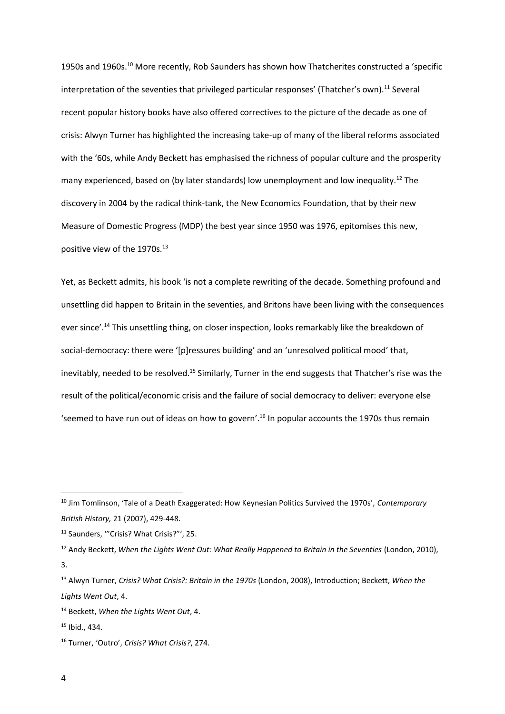1950s and 1960s.<sup>10</sup> More recently, Rob Saunders has shown how Thatcherites constructed a 'specific interpretation of the seventies that privileged particular responses' (Thatcher's own).<sup>11</sup> Several recent popular history books have also offered correctives to the picture of the decade as one of crisis: Alwyn Turner has highlighted the increasing take-up of many of the liberal reforms associated with the '60s, while Andy Beckett has emphasised the richness of popular culture and the prosperity many experienced, based on (by later standards) low unemployment and low inequality.<sup>12</sup> The discovery in 2004 by the radical think-tank, the New Economics Foundation, that by their new Measure of Domestic Progress (MDP) the best year since 1950 was 1976, epitomises this new, positive view of the 1970s.<sup>13</sup>

Yet, as Beckett admits, his book 'is not a complete rewriting of the decade. Something profound and unsettling did happen to Britain in the seventies, and Britons have been living with the consequences ever since'.<sup>14</sup> This unsettling thing, on closer inspection, looks remarkably like the breakdown of social-democracy: there were '[p]ressures building' and an 'unresolved political mood' that, inevitably, needed to be resolved.<sup>15</sup> Similarly, Turner in the end suggests that Thatcher's rise was the result of the political/economic crisis and the failure of social democracy to deliver: everyone else 'seemed to have run out of ideas on how to govern'.<sup>16</sup> In popular accounts the 1970s thus remain

<sup>10</sup> Jim Tomlinson, 'Tale of a Death Exaggerated: How Keynesian Politics Survived the 1970s', *Contemporary British History,* 21 (2007), 429-448.

<sup>&</sup>lt;sup>11</sup> Saunders, "Crisis? What Crisis?"', 25.

<sup>12</sup> Andy Beckett, *When the Lights Went Out: What Really Happened to Britain in the Seventies* (London, 2010), 3.

<sup>13</sup> Alwyn Turner, *Crisis? What Crisis?: Britain in the 1970s* (London, 2008), Introduction; Beckett, *When the Lights Went Out*, 4.

<sup>14</sup> Beckett, *When the Lights Went Out*, 4.

<sup>15</sup> Ibid., 434.

<sup>16</sup> Turner, 'Outro', *Crisis? What Crisis?*, 274.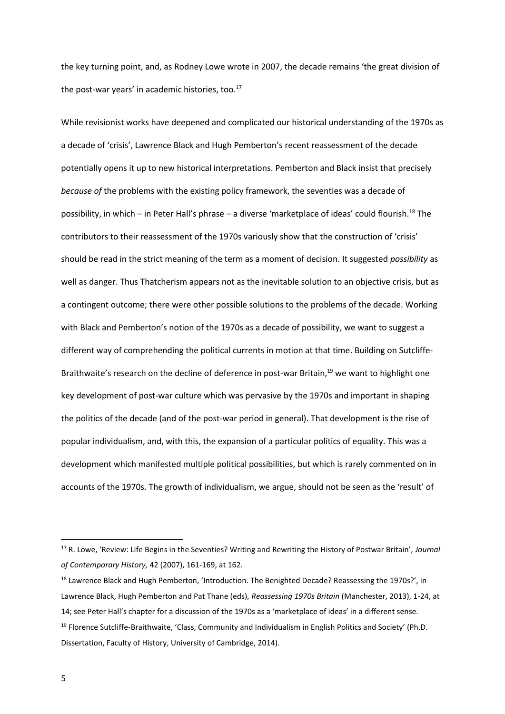the key turning point, and, as Rodney Lowe wrote in 2007, the decade remains 'the great division of the post-war years' in academic histories, too. 17

While revisionist works have deepened and complicated our historical understanding of the 1970s as a decade of 'crisis', Lawrence Black and Hugh Pemberton's recent reassessment of the decade potentially opens it up to new historical interpretations. Pemberton and Black insist that precisely *because of* the problems with the existing policy framework, the seventies was a decade of possibility, in which – in Peter Hall's phrase – a diverse 'marketplace of ideas' could flourish.<sup>18</sup> The contributors to their reassessment of the 1970s variously show that the construction of 'crisis' should be read in the strict meaning of the term as a moment of decision. It suggested *possibility* as well as danger. Thus Thatcherism appears not as the inevitable solution to an objective crisis, but as a contingent outcome; there were other possible solutions to the problems of the decade. Working with Black and Pemberton's notion of the 1970s as a decade of possibility, we want to suggest a different way of comprehending the political currents in motion at that time. Building on Sutcliffe-Braithwaite's research on the decline of deference in post-war Britain,<sup>19</sup> we want to highlight one key development of post-war culture which was pervasive by the 1970s and important in shaping the politics of the decade (and of the post-war period in general). That development is the rise of popular individualism, and, with this, the expansion of a particular politics of equality. This was a development which manifested multiple political possibilities, but which is rarely commented on in accounts of the 1970s. The growth of individualism, we argue, should not be seen as the 'result' of

<sup>17</sup> R. Lowe, 'Review: Life Begins in the Seventies? Writing and Rewriting the History of Postwar Britain', *Journal of Contemporary History,* 42 (2007), 161-169, at 162.

<sup>&</sup>lt;sup>18</sup> Lawrence Black and Hugh Pemberton, 'Introduction. The Benighted Decade? Reassessing the 1970s?', in Lawrence Black, Hugh Pemberton and Pat Thane (eds), *Reassessing 1970s Britain* (Manchester, 2013), 1-24, at 14; see Peter Hall's chapter for a discussion of the 1970s as a 'marketplace of ideas' in a different sense.

<sup>&</sup>lt;sup>19</sup> Florence Sutcliffe-Braithwaite, 'Class, Community and Individualism in English Politics and Society' (Ph.D. Dissertation, Faculty of History, University of Cambridge, 2014).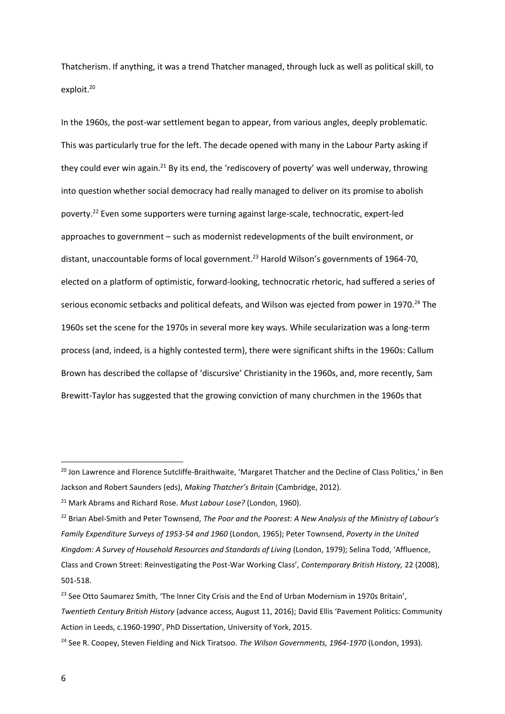Thatcherism. If anything, it was a trend Thatcher managed, through luck as well as political skill, to exploit. 20

In the 1960s, the post-war settlement began to appear, from various angles, deeply problematic. This was particularly true for the left. The decade opened with many in the Labour Party asking if they could ever win again.<sup>21</sup> By its end, the 'rediscovery of poverty' was well underway, throwing into question whether social democracy had really managed to deliver on its promise to abolish poverty.<sup>22</sup> Even some supporters were turning against large-scale, technocratic, expert-led approaches to government – such as modernist redevelopments of the built environment, or distant, unaccountable forms of local government.<sup>23</sup> Harold Wilson's governments of 1964-70, elected on a platform of optimistic, forward-looking, technocratic rhetoric, had suffered a series of serious economic setbacks and political defeats, and Wilson was ejected from power in 1970.<sup>24</sup> The 1960s set the scene for the 1970s in several more key ways. While secularization was a long-term process (and, indeed, is a highly contested term), there were significant shifts in the 1960s: Callum Brown has described the collapse of 'discursive' Christianity in the 1960s, and, more recently, Sam Brewitt-Taylor has suggested that the growing conviction of many churchmen in the 1960s that

<sup>&</sup>lt;sup>20</sup> Jon Lawrence and Florence Sutcliffe-Braithwaite, 'Margaret Thatcher and the Decline of Class Politics,' in Ben Jackson and Robert Saunders (eds), *Making Thatcher's Britain* (Cambridge, 2012).

<sup>21</sup> Mark Abrams and Richard Rose. *Must Labour Lose?* (London, 1960).

<sup>22</sup> Brian Abel-Smith and Peter Townsend, *The Poor and the Poorest: A New Analysis of the Ministry of Labour's Family Expenditure Surveys of 1953-54 and 1960* (London, 1965); Peter Townsend, *Poverty in the United Kingdom: A Survey of Household Resources and Standards of Living* (London, 1979); Selina Todd, 'Affluence, Class and Crown Street: Reinvestigating the Post-War Working Class', *Contemporary British History,* 22 (2008), 501-518.

<sup>&</sup>lt;sup>23</sup> See Otto Saumarez Smith, 'The Inner City Crisis and the End of Urban Modernism in 1970s Britain', *Twentieth Century British History* (advance access, August 11, 2016); David Ellis 'Pavement Politics: Community Action in Leeds, c.1960-1990', PhD Dissertation, University of York, 2015.

<sup>24</sup> See R. Coopey, Steven Fielding and Nick Tiratsoo. *The Wilson Governments, 1964-1970* (London, 1993).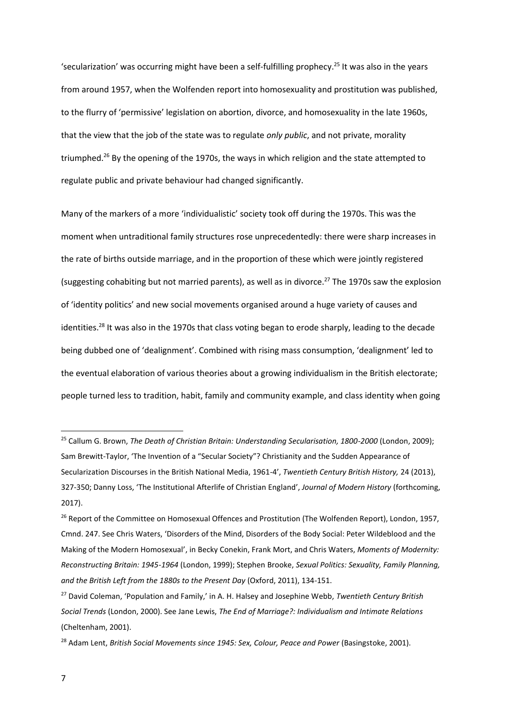'secularization' was occurring might have been a self-fulfilling prophecy.<sup>25</sup> It was also in the years from around 1957, when the Wolfenden report into homosexuality and prostitution was published, to the flurry of 'permissive' legislation on abortion, divorce, and homosexuality in the late 1960s, that the view that the job of the state was to regulate *only public*, and not private, morality triumphed.<sup>26</sup> By the opening of the 1970s, the ways in which religion and the state attempted to regulate public and private behaviour had changed significantly.

Many of the markers of a more 'individualistic' society took off during the 1970s. This was the moment when untraditional family structures rose unprecedentedly: there were sharp increases in the rate of births outside marriage, and in the proportion of these which were jointly registered (suggesting cohabiting but not married parents), as well as in divorce.<sup>27</sup> The 1970s saw the explosion of 'identity politics' and new social movements organised around a huge variety of causes and identities.<sup>28</sup> It was also in the 1970s that class voting began to erode sharply, leading to the decade being dubbed one of 'dealignment'. Combined with rising mass consumption, 'dealignment' led to the eventual elaboration of various theories about a growing individualism in the British electorate; people turned less to tradition, habit, family and community example, and class identity when going

 $\overline{a}$ 

<sup>&</sup>lt;sup>25</sup> Callum G. Brown, *The Death of Christian Britain: Understanding Secularisation, 1800-2000* (London, 2009); Sam Brewitt-Taylor, 'The Invention of a "Secular Society"? Christianity and the Sudden Appearance of Secularization Discourses in the British National Media, 1961-4', *Twentieth Century British History,* 24 (2013), 327-350; Danny Loss, 'The Institutional Afterlife of Christian England', *Journal of Modern History* (forthcoming, 2017).

<sup>&</sup>lt;sup>26</sup> Report of the Committee on Homosexual Offences and Prostitution (The Wolfenden Report), London, 1957, Cmnd. 247. See Chris Waters, 'Disorders of the Mind, Disorders of the Body Social: Peter Wildeblood and the Making of the Modern Homosexual', in Becky Conekin, Frank Mort, and Chris Waters, *Moments of Modernity: Reconstructing Britain: 1945-1964* (London, 1999); Stephen Brooke, *Sexual Politics: Sexuality, Family Planning, and the British Left from the 1880s to the Present Day* (Oxford, 2011), 134-151.

<sup>27</sup> David Coleman, 'Population and Family,' in A. H. Halsey and Josephine Webb, *Twentieth Century British Social Trends* (London, 2000). See Jane Lewis, *The End of Marriage?: Individualism and Intimate Relations* (Cheltenham, 2001).

<sup>28</sup> Adam Lent, *British Social Movements since 1945: Sex, Colour, Peace and Power* (Basingstoke, 2001).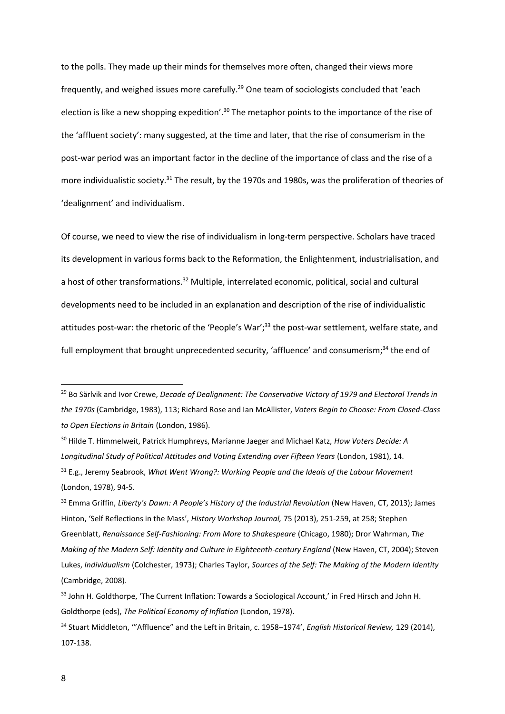to the polls. They made up their minds for themselves more often, changed their views more frequently, and weighed issues more carefully.<sup>29</sup> One team of sociologists concluded that 'each election is like a new shopping expedition'.<sup>30</sup> The metaphor points to the importance of the rise of the 'affluent society': many suggested, at the time and later, that the rise of consumerism in the post-war period was an important factor in the decline of the importance of class and the rise of a more individualistic society.<sup>31</sup> The result, by the 1970s and 1980s, was the proliferation of theories of 'dealignment' and individualism.

Of course, we need to view the rise of individualism in long-term perspective. Scholars have traced its development in various forms back to the Reformation, the Enlightenment, industrialisation, and a host of other transformations.<sup>32</sup> Multiple, interrelated economic, political, social and cultural developments need to be included in an explanation and description of the rise of individualistic attitudes post-war: the rhetoric of the 'People's War';<sup>33</sup> the post-war settlement, welfare state, and full employment that brought unprecedented security, 'affluence' and consumerism;<sup>34</sup> the end of

<sup>29</sup> Bo Särlvik and Ivor Crewe, *Decade of Dealignment: The Conservative Victory of 1979 and Electoral Trends in the 1970s* (Cambridge, 1983), 113; Richard Rose and Ian McAllister, *Voters Begin to Choose: From Closed-Class to Open Elections in Britain* (London, 1986).

<sup>30</sup> Hilde T. Himmelweit, Patrick Humphreys, Marianne Jaeger and Michael Katz, *How Voters Decide: A Longitudinal Study of Political Attitudes and Voting Extending over Fifteen Years* (London, 1981), 14. <sup>31</sup> E.g., Jeremy Seabrook, *What Went Wrong?: Working People and the Ideals of the Labour Movement* (London, 1978), 94-5.

<sup>32</sup> Emma Griffin, *Liberty's Dawn: A People's History of the Industrial Revolution* (New Haven, CT, 2013); James Hinton, 'Self Reflections in the Mass', *History Workshop Journal,* 75 (2013), 251-259, at 258; Stephen Greenblatt, *Renaissance Self-Fashioning: From More to Shakespeare* (Chicago, 1980); Dror Wahrman, *The Making of the Modern Self: Identity and Culture in Eighteenth-century England* (New Haven, CT, 2004); Steven Lukes, *Individualism* (Colchester, 1973); Charles Taylor, *Sources of the Self: The Making of the Modern Identity*  (Cambridge, 2008).

<sup>33</sup> John H. Goldthorpe, 'The Current Inflation: Towards a Sociological Account,' in Fred Hirsch and John H. Goldthorpe (eds), *The Political Economy of Inflation* (London, 1978).

<sup>34</sup> Stuart Middleton, '"Affluence" and the Left in Britain, c. 1958–1974', *English Historical Review,* 129 (2014), 107-138.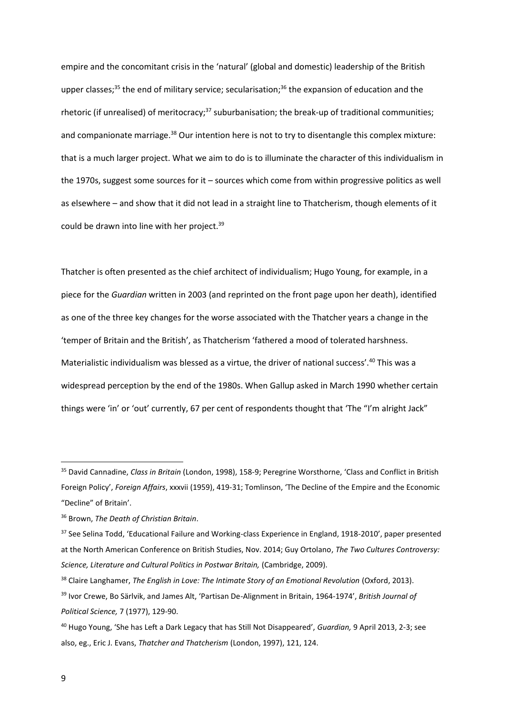empire and the concomitant crisis in the 'natural' (global and domestic) leadership of the British upper classes;<sup>35</sup> the end of military service; secularisation;<sup>36</sup> the expansion of education and the rhetoric (if unrealised) of meritocracy;<sup>37</sup> suburbanisation; the break-up of traditional communities; and companionate marriage.<sup>38</sup> Our intention here is not to try to disentangle this complex mixture: that is a much larger project. What we aim to do is to illuminate the character of this individualism in the 1970s, suggest some sources for it – sources which come from within progressive politics as well as elsewhere – and show that it did not lead in a straight line to Thatcherism, though elements of it could be drawn into line with her project.<sup>39</sup>

Thatcher is often presented as the chief architect of individualism; Hugo Young, for example, in a piece for the *Guardian* written in 2003 (and reprinted on the front page upon her death), identified as one of the three key changes for the worse associated with the Thatcher years a change in the 'temper of Britain and the British', as Thatcherism 'fathered a mood of tolerated harshness. Materialistic individualism was blessed as a virtue, the driver of national success'.<sup>40</sup> This was a widespread perception by the end of the 1980s. When Gallup asked in March 1990 whether certain things were 'in' or 'out' currently, 67 per cent of respondents thought that 'The "I'm alright Jack"

<sup>35</sup> David Cannadine, *Class in Britain* (London, 1998), 158-9; Peregrine Worsthorne, 'Class and Conflict in British Foreign Policy', *Foreign Affairs*, xxxvii (1959), 419-31; Tomlinson, 'The Decline of the Empire and the Economic "Decline" of Britain'.

<sup>36</sup> Brown, *The Death of Christian Britain*.

<sup>&</sup>lt;sup>37</sup> See Selina Todd, 'Educational Failure and Working-class Experience in England, 1918-2010', paper presented at the North American Conference on British Studies, Nov. 2014; Guy Ortolano, *The Two Cultures Controversy: Science, Literature and Cultural Politics in Postwar Britain,* (Cambridge, 2009).

<sup>38</sup> Claire Langhamer, *The English in Love: The Intimate Story of an Emotional Revolution* (Oxford, 2013).

<sup>39</sup> Ivor Crewe, Bo Särlvik, and James Alt, 'Partisan De-Alignment in Britain, 1964-1974', *British Journal of Political Science,* 7 (1977), 129-90.

<sup>40</sup> Hugo Young, 'She has Left a Dark Legacy that has Still Not Disappeared', *Guardian,* 9 April 2013, 2-3; see also, eg., Eric J. Evans, *Thatcher and Thatcherism* (London, 1997), 121, 124.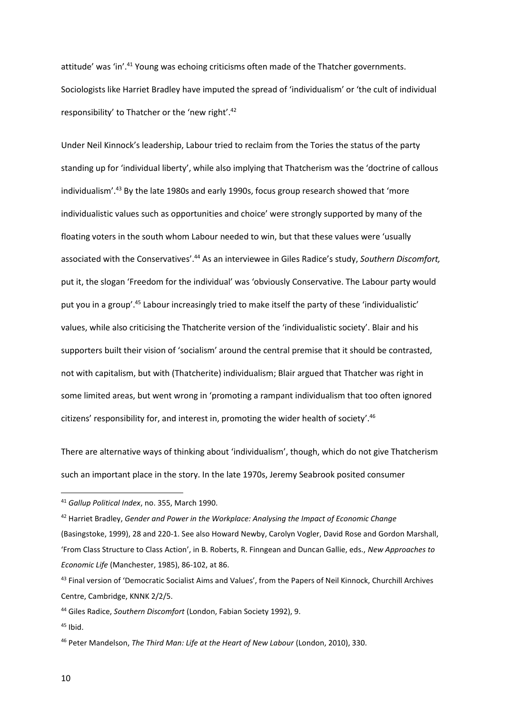attitude' was 'in'.<sup>41</sup> Young was echoing criticisms often made of the Thatcher governments. Sociologists like Harriet Bradley have imputed the spread of 'individualism' or 'the cult of individual responsibility' to Thatcher or the 'new right'.<sup>42</sup>

Under Neil Kinnock's leadership, Labour tried to reclaim from the Tories the status of the party standing up for 'individual liberty', while also implying that Thatcherism was the 'doctrine of callous individualism'.<sup>43</sup> By the late 1980s and early 1990s, focus group research showed that 'more individualistic values such as opportunities and choice' were strongly supported by many of the floating voters in the south whom Labour needed to win, but that these values were 'usually associated with the Conservatives'.<sup>44</sup> As an interviewee in Giles Radice's study, *Southern Discomfort,*  put it, the slogan 'Freedom for the individual' was 'obviously Conservative. The Labour party would put you in a group'.<sup>45</sup> Labour increasingly tried to make itself the party of these 'individualistic' values, while also criticising the Thatcherite version of the 'individualistic society'. Blair and his supporters built their vision of 'socialism' around the central premise that it should be contrasted, not with capitalism, but with (Thatcherite) individualism; Blair argued that Thatcher was right in some limited areas, but went wrong in 'promoting a rampant individualism that too often ignored citizens' responsibility for, and interest in, promoting the wider health of society'.<sup>46</sup>

There are alternative ways of thinking about 'individualism', though, which do not give Thatcherism such an important place in the story. In the late 1970s, Jeremy Seabrook posited consumer

<sup>41</sup> *Gallup Political Index*, no. 355, March 1990.

<sup>42</sup> Harriet Bradley, *Gender and Power in the Workplace: Analysing the Impact of Economic Change* (Basingstoke, 1999), 28 and 220-1. See also Howard Newby, Carolyn Vogler, David Rose and Gordon Marshall, 'From Class Structure to Class Action', in B. Roberts, R. Finngean and Duncan Gallie, eds., *New Approaches to Economic Life* (Manchester, 1985), 86-102, at 86.

<sup>&</sup>lt;sup>43</sup> Final version of 'Democratic Socialist Aims and Values', from the Papers of Neil Kinnock, Churchill Archives Centre, Cambridge, KNNK 2/2/5.

<sup>44</sup> Giles Radice, *Southern Discomfort* (London, Fabian Society 1992), 9.

 $45$  Ibid.

<sup>46</sup> Peter Mandelson, *The Third Man: Life at the Heart of New Labour* (London, 2010), 330.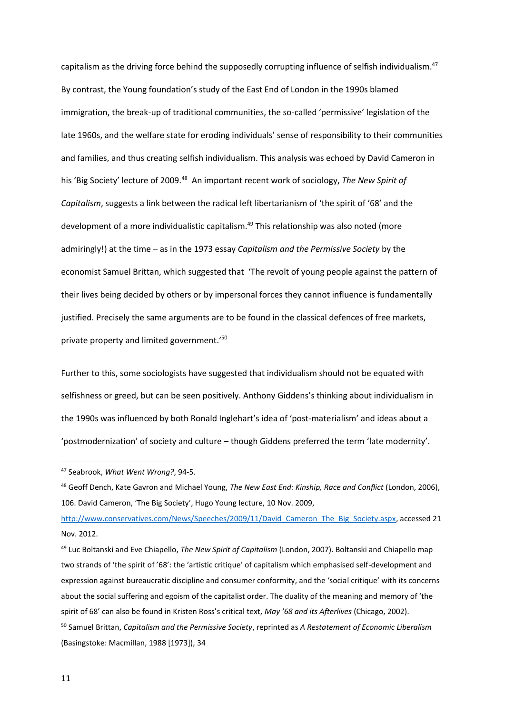capitalism as the driving force behind the supposedly corrupting influence of selfish individualism.<sup>47</sup> By contrast, the Young foundation's study of the East End of London in the 1990s blamed immigration, the break-up of traditional communities, the so-called 'permissive' legislation of the late 1960s, and the welfare state for eroding individuals' sense of responsibility to their communities and families, and thus creating selfish individualism. This analysis was echoed by David Cameron in his 'Big Society' lecture of 2009.<sup>48</sup> An important recent work of sociology, *The New Spirit of Capitalism*, suggests a link between the radical left libertarianism of 'the spirit of '68' and the development of a more individualistic capitalism.<sup>49</sup> This relationship was also noted (more admiringly!) at the time – as in the 1973 essay *Capitalism and the Permissive Society* by the economist Samuel Brittan, which suggested that 'The revolt of young people against the pattern of their lives being decided by others or by impersonal forces they cannot influence is fundamentally justified. Precisely the same arguments are to be found in the classical defences of free markets, private property and limited government.'<sup>50</sup>

Further to this, some sociologists have suggested that individualism should not be equated with selfishness or greed, but can be seen positively. Anthony Giddens's thinking about individualism in the 1990s was influenced by both Ronald Inglehart's idea of 'post-materialism' and ideas about a 'postmodernization' of society and culture – though Giddens preferred the term 'late modernity'.

<sup>47</sup> Seabrook, *What Went Wrong?*, 94-5.

<sup>48</sup> Geoff Dench, Kate Gavron and Michael Young, *The New East End: Kinship, Race and Conflict* (London, 2006), 106. David Cameron, 'The Big Society', Hugo Young lecture, 10 Nov. 2009,

[http://www.conservatives.com/News/Speeches/2009/11/David\\_Cameron\\_The\\_Big\\_Society.aspx,](http://www.conservatives.com/News/Speeches/2009/11/David_Cameron_The_Big_Society.aspx) accessed 21 Nov. 2012.

<sup>49</sup> Luc Boltanski and Eve Chiapello, *The New Spirit of Capitalism* (London, 2007). Boltanski and Chiapello map two strands of 'the spirit of '68': the 'artistic critique' of capitalism which emphasised self-development and expression against bureaucratic discipline and consumer conformity, and the 'social critique' with its concerns about the social suffering and egoism of the capitalist order. The duality of the meaning and memory of 'the spirit of 68' can also be found in Kristen Ross's critical text, *May '68 and its Afterlives* (Chicago, 2002). <sup>50</sup> Samuel Brittan, *Capitalism and the Permissive Society*, reprinted as *A Restatement of Economic Liberalism*  (Basingstoke: Macmillan, 1988 [1973]), 34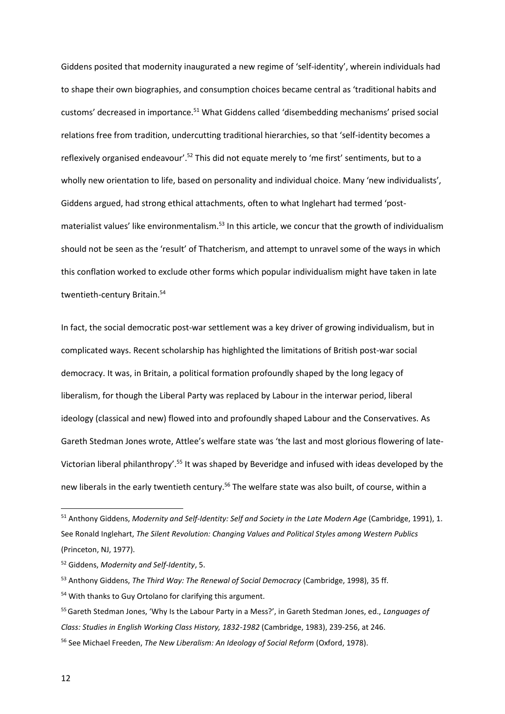Giddens posited that modernity inaugurated a new regime of 'self-identity', wherein individuals had to shape their own biographies, and consumption choices became central as 'traditional habits and customs' decreased in importance.<sup>51</sup> What Giddens called 'disembedding mechanisms' prised social relations free from tradition, undercutting traditional hierarchies, so that 'self-identity becomes a reflexively organised endeavour'.<sup>52</sup> This did not equate merely to 'me first' sentiments, but to a wholly new orientation to life, based on personality and individual choice. Many 'new individualists', Giddens argued, had strong ethical attachments, often to what Inglehart had termed 'postmaterialist values' like environmentalism.<sup>53</sup> In this article, we concur that the growth of individualism should not be seen as the 'result' of Thatcherism, and attempt to unravel some of the ways in which this conflation worked to exclude other forms which popular individualism might have taken in late twentieth-century Britain. 54

In fact, the social democratic post-war settlement was a key driver of growing individualism, but in complicated ways. Recent scholarship has highlighted the limitations of British post-war social democracy. It was, in Britain, a political formation profoundly shaped by the long legacy of liberalism, for though the Liberal Party was replaced by Labour in the interwar period, liberal ideology (classical and new) flowed into and profoundly shaped Labour and the Conservatives. As Gareth Stedman Jones wrote, Attlee's welfare state was 'the last and most glorious flowering of late-Victorian liberal philanthropy'.<sup>55</sup> It was shaped by Beveridge and infused with ideas developed by the new liberals in the early twentieth century.<sup>56</sup> The welfare state was also built, of course, within a

<sup>51</sup> Anthony Giddens, *Modernity and Self-Identity: Self and Society in the Late Modern Age* (Cambridge, 1991), 1. See Ronald Inglehart, *The Silent Revolution: Changing Values and Political Styles among Western Publics* (Princeton, NJ, 1977).

<sup>52</sup> Giddens, *Modernity and Self-Identity*, 5.

<sup>53</sup> Anthony Giddens, *The Third Way: The Renewal of Social Democracy* (Cambridge, 1998), 35 ff.

<sup>54</sup> With thanks to Guy Ortolano for clarifying this argument.

<sup>55</sup>Gareth Stedman Jones, 'Why Is the Labour Party in a Mess?', in Gareth Stedman Jones, ed., *Languages of Class: Studies in English Working Class History, 1832-1982* (Cambridge, 1983), 239-256, at 246. <sup>56</sup> See Michael Freeden, *The New Liberalism: An Ideology of Social Reform* (Oxford, 1978).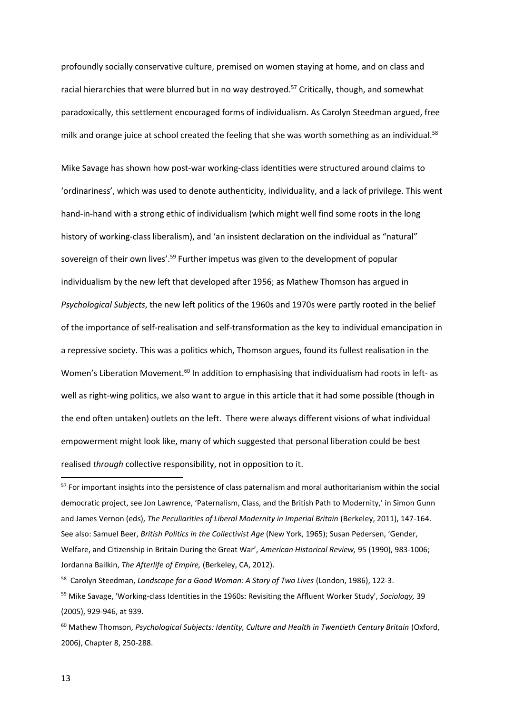profoundly socially conservative culture, premised on women staying at home, and on class and racial hierarchies that were blurred but in no way destroyed.<sup>57</sup> Critically, though, and somewhat paradoxically, this settlement encouraged forms of individualism. As Carolyn Steedman argued, free milk and orange juice at school created the feeling that she was worth something as an individual.<sup>58</sup>

Mike Savage has shown how post-war working-class identities were structured around claims to 'ordinariness', which was used to denote authenticity, individuality, and a lack of privilege. This went hand-in-hand with a strong ethic of individualism (which might well find some roots in the long history of working-class liberalism), and 'an insistent declaration on the individual as "natural" sovereign of their own lives'.<sup>59</sup> Further impetus was given to the development of popular individualism by the new left that developed after 1956; as Mathew Thomson has argued in *Psychological Subjects*, the new left politics of the 1960s and 1970s were partly rooted in the belief of the importance of self-realisation and self-transformation as the key to individual emancipation in a repressive society. This was a politics which, Thomson argues, found its fullest realisation in the Women's Liberation Movement.<sup>60</sup> In addition to emphasising that individualism had roots in left- as well as right-wing politics, we also want to argue in this article that it had some possible (though in the end often untaken) outlets on the left. There were always different visions of what individual empowerment might look like, many of which suggested that personal liberation could be best realised *through* collective responsibility, not in opposition to it.

<sup>&</sup>lt;sup>57</sup> For important insights into the persistence of class paternalism and moral authoritarianism within the social democratic project, see Jon Lawrence, 'Paternalism, Class, and the British Path to Modernity,' in Simon Gunn and James Vernon (eds), *The Peculiarities of Liberal Modernity in Imperial Britain* (Berkeley, 2011), 147-164. See also: Samuel Beer, *British Politics in the Collectivist Age* (New York, 1965); Susan Pedersen, 'Gender, Welfare, and Citizenship in Britain During the Great War', *American Historical Review,* 95 (1990), 983-1006; Jordanna Bailkin, *The Afterlife of Empire,* (Berkeley, CA, 2012).

<sup>58</sup> Carolyn Steedman, *Landscape for a Good Woman: A Story of Two Lives* (London, 1986), 122-3.

<sup>59</sup> Mike Savage, 'Working-class Identities in the 1960s: Revisiting the Affluent Worker Study', *Sociology,* 39 (2005), 929-946, at 939.

<sup>&</sup>lt;sup>60</sup> Mathew Thomson, *Psychological Subjects: Identity, Culture and Health in Twentieth Century Britain (Oxford,* 2006), Chapter 8, 250-288.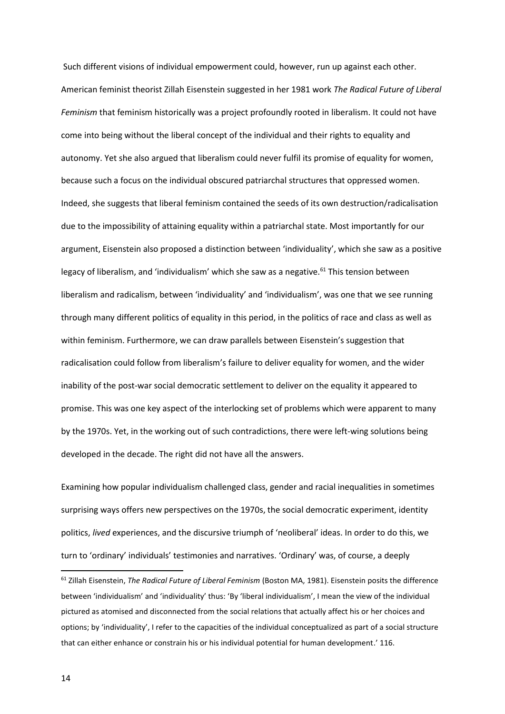Such different visions of individual empowerment could, however, run up against each other. American feminist theorist Zillah Eisenstein suggested in her 1981 work *The Radical Future of Liberal Feminism* that feminism historically was a project profoundly rooted in liberalism. It could not have come into being without the liberal concept of the individual and their rights to equality and autonomy. Yet she also argued that liberalism could never fulfil its promise of equality for women, because such a focus on the individual obscured patriarchal structures that oppressed women. Indeed, she suggests that liberal feminism contained the seeds of its own destruction/radicalisation due to the impossibility of attaining equality within a patriarchal state. Most importantly for our argument, Eisenstein also proposed a distinction between 'individuality', which she saw as a positive legacy of liberalism, and 'individualism' which she saw as a negative.<sup>61</sup> This tension between liberalism and radicalism, between 'individuality' and 'individualism', was one that we see running through many different politics of equality in this period, in the politics of race and class as well as within feminism. Furthermore, we can draw parallels between Eisenstein's suggestion that radicalisation could follow from liberalism's failure to deliver equality for women, and the wider inability of the post-war social democratic settlement to deliver on the equality it appeared to promise. This was one key aspect of the interlocking set of problems which were apparent to many by the 1970s. Yet, in the working out of such contradictions, there were left-wing solutions being developed in the decade. The right did not have all the answers.

Examining how popular individualism challenged class, gender and racial inequalities in sometimes surprising ways offers new perspectives on the 1970s, the social democratic experiment, identity politics, *lived* experiences, and the discursive triumph of 'neoliberal' ideas. In order to do this, we turn to 'ordinary' individuals' testimonies and narratives. 'Ordinary' was, of course, a deeply

<sup>61</sup> Zillah Eisenstein, *The Radical Future of Liberal Feminism* (Boston MA, 1981). Eisenstein posits the difference between 'individualism' and 'individuality' thus: 'By 'liberal individualism', I mean the view of the individual pictured as atomised and disconnected from the social relations that actually affect his or her choices and options; by 'individuality', I refer to the capacities of the individual conceptualized as part of a social structure that can either enhance or constrain his or his individual potential for human development.' 116.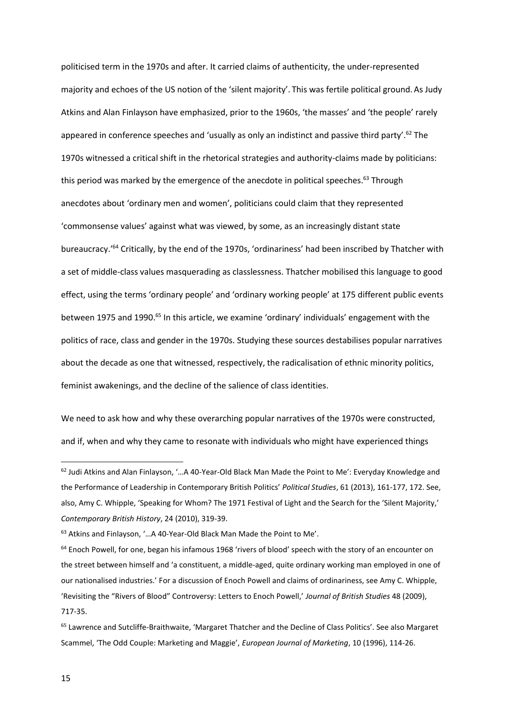politicised term in the 1970s and after. It carried claims of authenticity, the under-represented majority and echoes of the US notion of the 'silent majority'. This was fertile political ground.As Judy Atkins and Alan Finlayson have emphasized, prior to the 1960s, 'the masses' and 'the people' rarely appeared in conference speeches and 'usually as only an indistinct and passive third party'.<sup>62</sup> The 1970s witnessed a critical shift in the rhetorical strategies and authority-claims made by politicians: this period was marked by the emergence of the anecdote in political speeches.<sup>63</sup> Through anecdotes about 'ordinary men and women', politicians could claim that they represented 'commonsense values' against what was viewed, by some, as an increasingly distant state bureaucracy.'<sup>64</sup> Critically, by the end of the 1970s, 'ordinariness' had been inscribed by Thatcher with a set of middle-class values masquerading as classlessness. Thatcher mobilised this language to good effect, using the terms 'ordinary people' and 'ordinary working people' at 175 different public events between 1975 and 1990.<sup>65</sup> In this article, we examine 'ordinary' individuals' engagement with the politics of race, class and gender in the 1970s. Studying these sources destabilises popular narratives about the decade as one that witnessed, respectively, the radicalisation of ethnic minority politics, feminist awakenings, and the decline of the salience of class identities.

We need to ask how and why these overarching popular narratives of the 1970s were constructed, and if, when and why they came to resonate with individuals who might have experienced things

<sup>&</sup>lt;sup>62</sup> Judi Atkins and Alan Finlayson, '...A 40-Year-Old Black Man Made the Point to Me': Everyday Knowledge and the Performance of Leadership in Contemporary British Politics' *Political Studies*, 61 (2013), 161-177, 172. See, also, Amy C. Whipple, 'Speaking for Whom? The 1971 Festival of Light and the Search for the 'Silent Majority,' *Contemporary British History*, 24 (2010), 319-39.

<sup>63</sup> Atkins and Finlayson, '…A 40-Year-Old Black Man Made the Point to Me'.

 $64$  Enoch Powell, for one, began his infamous 1968 'rivers of blood' speech with the story of an encounter on the street between himself and 'a constituent, a middle-aged, quite ordinary working man employed in one of our nationalised industries.' For a discussion of Enoch Powell and claims of ordinariness, see Amy C. Whipple, 'Revisiting the "Rivers of Blood" Controversy: Letters to Enoch Powell,' *Journal of British Studies* 48 (2009), 717-35.

<sup>65</sup> Lawrence and Sutcliffe-Braithwaite, 'Margaret Thatcher and the Decline of Class Politics'. See also Margaret Scammel, 'The Odd Couple: Marketing and Maggie', *European Journal of Marketing*, 10 (1996), 114-26.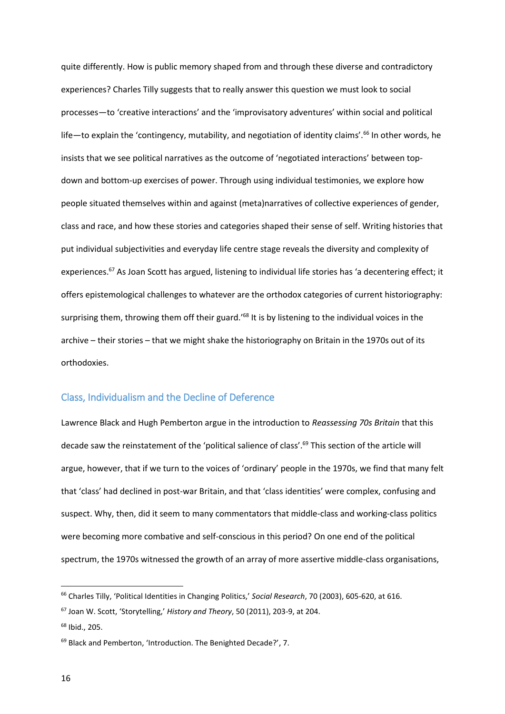quite differently. How is public memory shaped from and through these diverse and contradictory experiences? Charles Tilly suggests that to really answer this question we must look to social processes—to 'creative interactions' and the 'improvisatory adventures' within social and political life—to explain the 'contingency, mutability, and negotiation of identity claims'.<sup>66</sup> In other words, he insists that we see political narratives as the outcome of 'negotiated interactions' between topdown and bottom-up exercises of power. Through using individual testimonies, we explore how people situated themselves within and against (meta)narratives of collective experiences of gender, class and race, and how these stories and categories shaped their sense of self. Writing histories that put individual subjectivities and everyday life centre stage reveals the diversity and complexity of experiences.<sup>67</sup> As Joan Scott has argued, listening to individual life stories has 'a decentering effect; it offers epistemological challenges to whatever are the orthodox categories of current historiography: surprising them, throwing them off their guard.<sup>'68</sup> It is by listening to the individual voices in the archive – their stories – that we might shake the historiography on Britain in the 1970s out of its orthodoxies.

# Class, Individualism and the Decline of Deference

Lawrence Black and Hugh Pemberton argue in the introduction to *Reassessing 70s Britain* that this decade saw the reinstatement of the 'political salience of class'.<sup>69</sup> This section of the article will argue, however, that if we turn to the voices of 'ordinary' people in the 1970s, we find that many felt that 'class' had declined in post-war Britain, and that 'class identities' were complex, confusing and suspect. Why, then, did it seem to many commentators that middle-class and working-class politics were becoming more combative and self-conscious in this period? On one end of the political spectrum, the 1970s witnessed the growth of an array of more assertive middle-class organisations,

<sup>66</sup> Charles Tilly, 'Political Identities in Changing Politics,' *Social Research*, 70 (2003), 605-620, at 616.

<sup>67</sup> Joan W. Scott, 'Storytelling,' *History and Theory*, 50 (2011), 203-9, at 204.

<sup>68</sup> Ibid., 205.

<sup>69</sup> Black and Pemberton, 'Introduction. The Benighted Decade?', 7.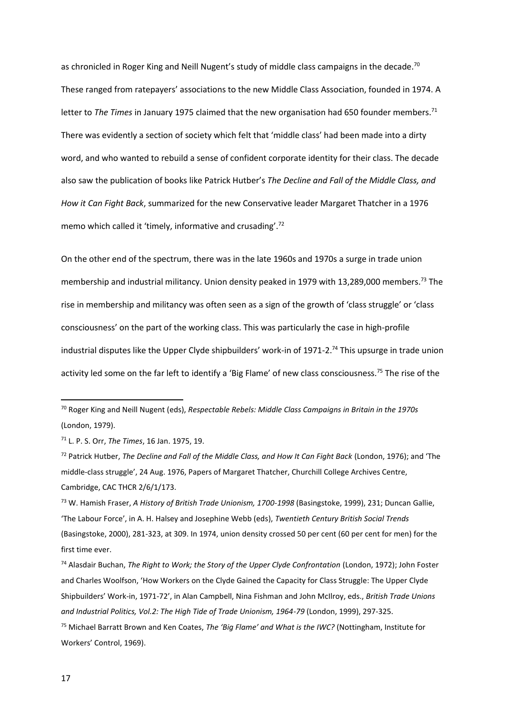as chronicled in Roger King and Neill Nugent's study of middle class campaigns in the decade.<sup>70</sup> These ranged from ratepayers' associations to the new Middle Class Association, founded in 1974. A letter to *The Times* in January 1975 claimed that the new organisation had 650 founder members.<sup>71</sup> There was evidently a section of society which felt that 'middle class' had been made into a dirty word, and who wanted to rebuild a sense of confident corporate identity for their class. The decade also saw the publication of books like Patrick Hutber's *The Decline and Fall of the Middle Class, and How it Can Fight Back*, summarized for the new Conservative leader Margaret Thatcher in a 1976 memo which called it 'timely, informative and crusading'.<sup>72</sup>

On the other end of the spectrum, there was in the late 1960s and 1970s a surge in trade union membership and industrial militancy. Union density peaked in 1979 with 13,289,000 members.<sup>73</sup> The rise in membership and militancy was often seen as a sign of the growth of 'class struggle' or 'class consciousness' on the part of the working class. This was particularly the case in high-profile industrial disputes like the Upper Clyde shipbuilders' work-in of 1971-2.<sup>74</sup> This upsurge in trade union activity led some on the far left to identify a 'Big Flame' of new class consciousness.<sup>75</sup> The rise of the

<sup>70</sup> Roger King and Neill Nugent (eds), *Respectable Rebels: Middle Class Campaigns in Britain in the 1970s* (London, 1979).

<sup>71</sup> L. P. S. Orr, *The Times*, 16 Jan. 1975, 19.

<sup>72</sup> Patrick Hutber, *The Decline and Fall of the Middle Class, and How It Can Fight Back* (London, 1976); and 'The middle-class struggle', 24 Aug. 1976, Papers of Margaret Thatcher, Churchill College Archives Centre, Cambridge, CAC THCR 2/6/1/173.

<sup>73</sup> W. Hamish Fraser, *A History of British Trade Unionism, 1700-1998* (Basingstoke, 1999), 231; Duncan Gallie, 'The Labour Force', in A. H. Halsey and Josephine Webb (eds), *Twentieth Century British Social Trends* (Basingstoke, 2000), 281-323, at 309. In 1974, union density crossed 50 per cent (60 per cent for men) for the first time ever.

<sup>74</sup> Alasdair Buchan, *The Right to Work; the Story of the Upper Clyde Confrontation* (London, 1972); John Foster and Charles Woolfson, 'How Workers on the Clyde Gained the Capacity for Class Struggle: The Upper Clyde Shipbuilders' Work-in, 1971-72', in Alan Campbell, Nina Fishman and John McIlroy, eds., *British Trade Unions and Industrial Politics, Vol.2: The High Tide of Trade Unionism, 1964-79* (London, 1999), 297-325.

<sup>75</sup> Michael Barratt Brown and Ken Coates, *The 'Big Flame' and What is the IWC?* (Nottingham, Institute for Workers' Control, 1969).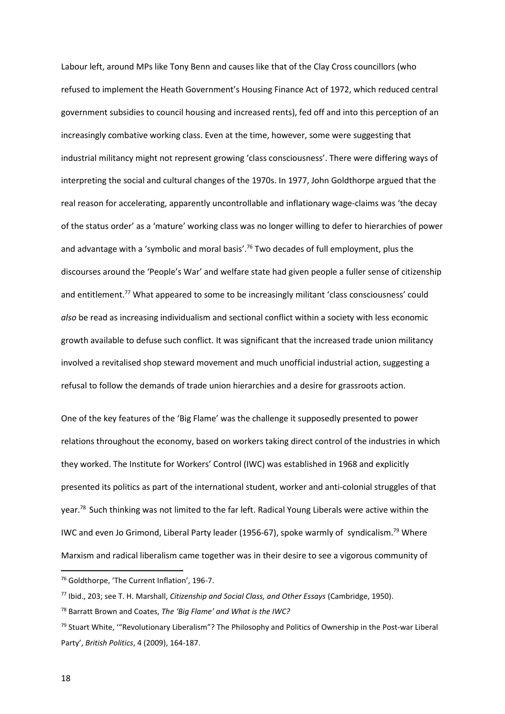Labour left, around MPs like Tony Benn and causes like that of the Clay Cross councillors (who refused to implement the Heath Government's Housing Finance Act of 1972, which reduced central government subsidies to council housing and increased rents), fed off and into this perception of an increasingly combative working class. Even at the time, however, some were suggesting that industrial militancy might not represent growing 'class consciousness'. There were differing ways of interpreting the social and cultural changes of the 1970s. In 1977, John Goldthorpe argued that the real reason for accelerating, apparently uncontrollable and inflationary wage-claims was 'the decay of the status order' as a 'mature' working class was no longer willing to defer to hierarchies of power and advantage with a 'symbolic and moral basis'.<sup>76</sup> Two decades of full employment, plus the discourses around the 'People's War' and welfare state had given people a fuller sense of citizenship and entitlement.<sup>77</sup> What appeared to some to be increasingly militant 'class consciousness' could *also* be read as increasing individualism and sectional conflict within a society with less economic growth available to defuse such conflict. It was significant that the increased trade union militancy involved a revitalised shop steward movement and much unofficial industrial action, suggesting a refusal to follow the demands of trade union hierarchies and a desire for grassroots action.

One of the key features of the 'Big Flame' was the challenge it supposedly presented to power relations throughout the economy, based on workers taking direct control of the industries in which they worked. The Institute for Workers' Control (IWC) was established in 1968 and explicitly presented its politics as part of the international student, worker and anti-colonial struggles of that year.<sup>78</sup> Such thinking was not limited to the far left. Radical Young Liberals were active within the IWC and even Jo Grimond, Liberal Party leader (1956-67), spoke warmly of syndicalism.<sup>79</sup> Where Marxism and radical liberalism came together was in their desire to see a vigorous community of

<sup>76</sup> Goldthorpe, 'The Current Inflation', 196-7.

<sup>77</sup> Ibid., 203; see T. H. Marshall, *Citizenship and Social Class, and Other Essays* (Cambridge, 1950).

<sup>78</sup> Barratt Brown and Coates, *The 'Big Flame' and What is the IWC?*

<sup>&</sup>lt;sup>79</sup> Stuart White, "'Revolutionary Liberalism"? The Philosophy and Politics of Ownership in the Post-war Liberal Party', *British Politics*, 4 (2009), 164-187.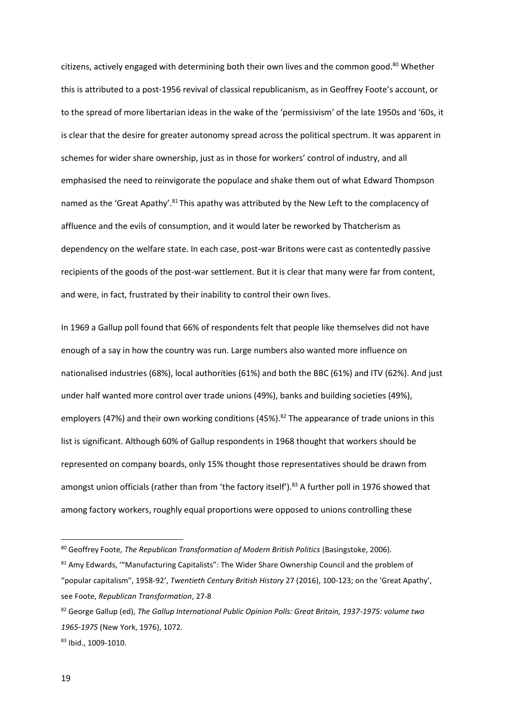citizens, actively engaged with determining both their own lives and the common good.<sup>80</sup> Whether this is attributed to a post-1956 revival of classical republicanism, as in Geoffrey Foote's account, or to the spread of more libertarian ideas in the wake of the 'permissivism' of the late 1950s and '60s, it is clear that the desire for greater autonomy spread across the political spectrum. It was apparent in schemes for wider share ownership, just as in those for workers' control of industry, and all emphasised the need to reinvigorate the populace and shake them out of what Edward Thompson named as the 'Great Apathy'.<sup>81</sup> This apathy was attributed by the New Left to the complacency of affluence and the evils of consumption, and it would later be reworked by Thatcherism as dependency on the welfare state. In each case, post-war Britons were cast as contentedly passive recipients of the goods of the post-war settlement. But it is clear that many were far from content, and were, in fact, frustrated by their inability to control their own lives.

In 1969 a Gallup poll found that 66% of respondents felt that people like themselves did not have enough of a say in how the country was run. Large numbers also wanted more influence on nationalised industries (68%), local authorities (61%) and both the BBC (61%) and ITV (62%). And just under half wanted more control over trade unions (49%), banks and building societies (49%), employers (47%) and their own working conditions (45%).<sup>82</sup> The appearance of trade unions in this list is significant. Although 60% of Gallup respondents in 1968 thought that workers should be represented on company boards, only 15% thought those representatives should be drawn from amongst union officials (rather than from 'the factory itself').<sup>83</sup> A further poll in 1976 showed that among factory workers, roughly equal proportions were opposed to unions controlling these

<sup>80</sup> Geoffrey Foote, *The Republican Transformation of Modern British Politics* (Basingstoke, 2006).

<sup>81</sup> Amy Edwards, "Manufacturing Capitalists": The Wider Share Ownership Council and the problem of "popular capitalism", 1958-92', *Twentieth Century British History* 27 (2016), 100-123; on the 'Great Apathy', see Foote, *Republican Transformation*, 27-8

<sup>82</sup> George Gallup (ed), *The Gallup International Public Opinion Polls: Great Britain, 1937-1975: volume two 1965-1975* (New York, 1976), 1072.

<sup>83</sup> Ibid., 1009-1010.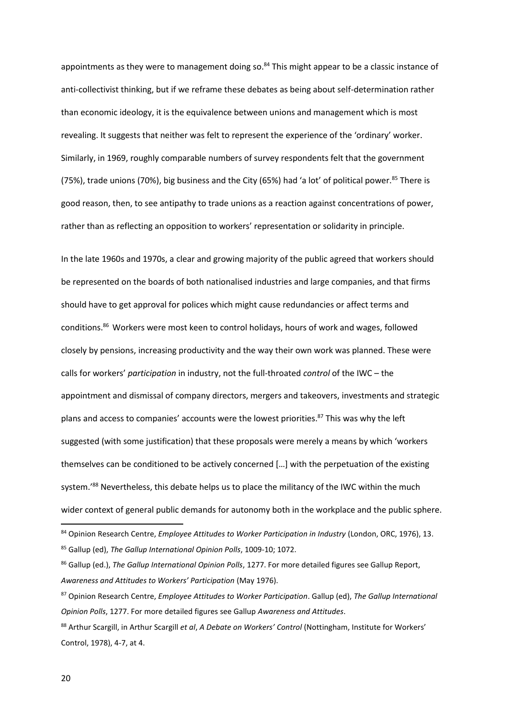appointments as they were to management doing so.<sup>84</sup> This might appear to be a classic instance of anti-collectivist thinking, but if we reframe these debates as being about self-determination rather than economic ideology, it is the equivalence between unions and management which is most revealing. It suggests that neither was felt to represent the experience of the 'ordinary' worker. Similarly, in 1969, roughly comparable numbers of survey respondents felt that the government (75%), trade unions (70%), big business and the City (65%) had 'a lot' of political power.<sup>85</sup> There is good reason, then, to see antipathy to trade unions as a reaction against concentrations of power, rather than as reflecting an opposition to workers' representation or solidarity in principle.

In the late 1960s and 1970s, a clear and growing majority of the public agreed that workers should be represented on the boards of both nationalised industries and large companies, and that firms should have to get approval for polices which might cause redundancies or affect terms and conditions.<sup>86</sup> Workers were most keen to control holidays, hours of work and wages, followed closely by pensions, increasing productivity and the way their own work was planned. These were calls for workers' *participation* in industry, not the full-throated *control* of the IWC – the appointment and dismissal of company directors, mergers and takeovers, investments and strategic plans and access to companies' accounts were the lowest priorities. $87$  This was why the left suggested (with some justification) that these proposals were merely a means by which 'workers themselves can be conditioned to be actively concerned […] with the perpetuation of the existing system.'88 Nevertheless, this debate helps us to place the militancy of the IWC within the much wider context of general public demands for autonomy both in the workplace and the public sphere.

 $\overline{a}$ 

<sup>84</sup> Opinion Research Centre, *Employee Attitudes to Worker Participation in Industry* (London, ORC, 1976), 13. <sup>85</sup> Gallup (ed), *The Gallup International Opinion Polls*, 1009-10; 1072.

<sup>86</sup> Gallup (ed.), *The Gallup International Opinion Polls*, 1277. For more detailed figures see Gallup Report, *Awareness and Attitudes to Workers' Participation* (May 1976).

<sup>87</sup> Opinion Research Centre, *Employee Attitudes to Worker Participation*. Gallup (ed), *The Gallup International Opinion Polls*, 1277. For more detailed figures see Gallup *Awareness and Attitudes*.

<sup>88</sup> Arthur Scargill, in Arthur Scargill *et al*, *A Debate on Workers' Control* (Nottingham, Institute for Workers' Control, 1978), 4-7, at 4.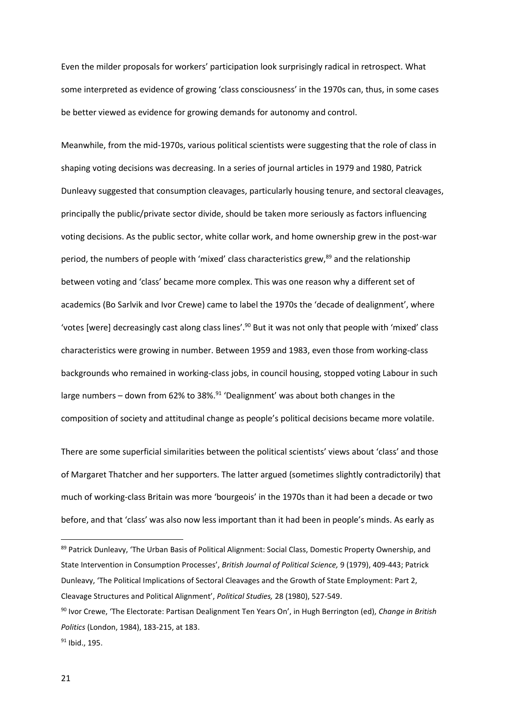Even the milder proposals for workers' participation look surprisingly radical in retrospect. What some interpreted as evidence of growing 'class consciousness' in the 1970s can, thus, in some cases be better viewed as evidence for growing demands for autonomy and control.

Meanwhile, from the mid-1970s, various political scientists were suggesting that the role of class in shaping voting decisions was decreasing. In a series of journal articles in 1979 and 1980, Patrick Dunleavy suggested that consumption cleavages, particularly housing tenure, and sectoral cleavages, principally the public/private sector divide, should be taken more seriously as factors influencing voting decisions. As the public sector, white collar work, and home ownership grew in the post-war period, the numbers of people with 'mixed' class characteristics grew,<sup>89</sup> and the relationship between voting and 'class' became more complex. This was one reason why a different set of academics (Bo Sarlvik and Ivor Crewe) came to label the 1970s the 'decade of dealignment', where 'votes [were] decreasingly cast along class lines'.<sup>90</sup> But it was not only that people with 'mixed' class characteristics were growing in number. Between 1959 and 1983, even those from working-class backgrounds who remained in working-class jobs, in council housing, stopped voting Labour in such large numbers – down from 62% to 38%.<sup>91</sup> 'Dealignment' was about both changes in the composition of society and attitudinal change as people's political decisions became more volatile.

There are some superficial similarities between the political scientists' views about 'class' and those of Margaret Thatcher and her supporters. The latter argued (sometimes slightly contradictorily) that much of working-class Britain was more 'bourgeois' in the 1970s than it had been a decade or two before, and that 'class' was also now less important than it had been in people's minds. As early as

<sup>89</sup> Patrick Dunleavy, 'The Urban Basis of Political Alignment: Social Class, Domestic Property Ownership, and State Intervention in Consumption Processes', *British Journal of Political Science,* 9 (1979), 409-443; Patrick Dunleavy, 'The Political Implications of Sectoral Cleavages and the Growth of State Employment: Part 2, Cleavage Structures and Political Alignment', *Political Studies,* 28 (1980), 527-549.

<sup>90</sup> Ivor Crewe, 'The Electorate: Partisan Dealignment Ten Years On', in Hugh Berrington (ed), *Change in British Politics* (London, 1984), 183-215, at 183. <sup>91</sup> Ibid., 195.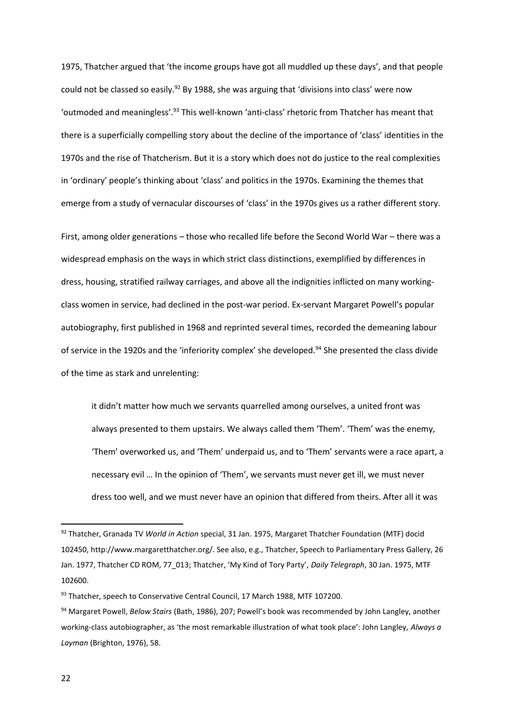1975, Thatcher argued that 'the income groups have got all muddled up these days', and that people could not be classed so easily.<sup>92</sup> By 1988, she was arguing that 'divisions into class' were now 'outmoded and meaningless'.<sup>93</sup> This well-known 'anti-class' rhetoric from Thatcher has meant that there is a superficially compelling story about the decline of the importance of 'class' identities in the 1970s and the rise of Thatcherism. But it is a story which does not do justice to the real complexities in 'ordinary' people's thinking about 'class' and politics in the 1970s. Examining the themes that emerge from a study of vernacular discourses of 'class' in the 1970s gives us a rather different story.

First, among older generations – those who recalled life before the Second World War – there was a widespread emphasis on the ways in which strict class distinctions, exemplified by differences in dress, housing, stratified railway carriages, and above all the indignities inflicted on many workingclass women in service, had declined in the post-war period. Ex-servant Margaret Powell's popular autobiography, first published in 1968 and reprinted several times, recorded the demeaning labour of service in the 1920s and the 'inferiority complex' she developed.<sup>94</sup> She presented the class divide of the time as stark and unrelenting:

it didn't matter how much we servants quarrelled among ourselves, a united front was always presented to them upstairs. We always called them 'Them'. 'Them' was the enemy, 'Them' overworked us, and 'Them' underpaid us, and to 'Them' servants were a race apart, a necessary evil … In the opinion of 'Them', we servants must never get ill, we must never dress too well, and we must never have an opinion that differed from theirs. After all it was

 $\overline{a}$ 

<sup>92</sup> Thatcher, Granada TV *World in Action* special, 31 Jan. 1975, Margaret Thatcher Foundation (MTF) docid 102450, http://www.margaretthatcher.org/. See also, e.g., Thatcher, Speech to Parliamentary Press Gallery, 26 Jan. 1977, Thatcher CD ROM, 77\_013; Thatcher, 'My Kind of Tory Party', *Daily Telegraph*, 30 Jan. 1975, MTF 102600.

<sup>93</sup> Thatcher, speech to Conservative Central Council, 17 March 1988, MTF 107200.

<sup>94</sup> Margaret Powell, *Below Stairs* (Bath, 1986), 207; Powell's book was recommended by John Langley, another working-class autobiographer, as 'the most remarkable illustration of what took place': John Langley, *Always a Layman* (Brighton, 1976), 58.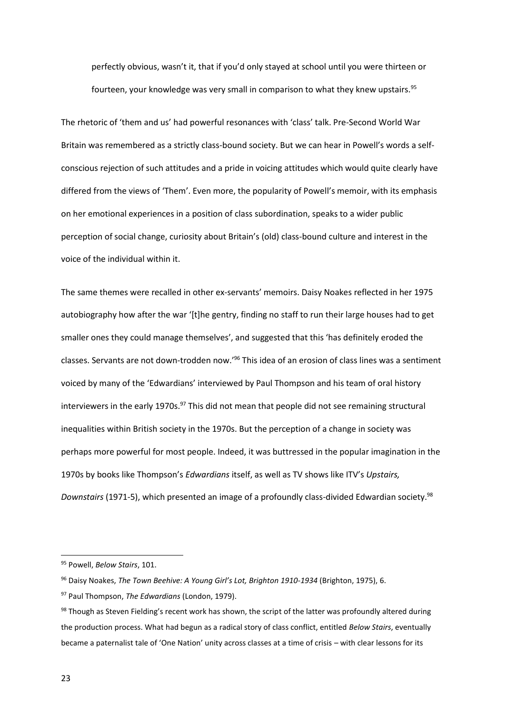perfectly obvious, wasn't it, that if you'd only stayed at school until you were thirteen or fourteen, your knowledge was very small in comparison to what they knew upstairs.<sup>95</sup>

The rhetoric of 'them and us' had powerful resonances with 'class' talk. Pre-Second World War Britain was remembered as a strictly class-bound society. But we can hear in Powell's words a selfconscious rejection of such attitudes and a pride in voicing attitudes which would quite clearly have differed from the views of 'Them'. Even more, the popularity of Powell's memoir, with its emphasis on her emotional experiences in a position of class subordination, speaks to a wider public perception of social change, curiosity about Britain's (old) class-bound culture and interest in the voice of the individual within it.

The same themes were recalled in other ex-servants' memoirs. Daisy Noakes reflected in her 1975 autobiography how after the war '[t]he gentry, finding no staff to run their large houses had to get smaller ones they could manage themselves', and suggested that this 'has definitely eroded the classes. Servants are not down-trodden now.'<sup>96</sup> This idea of an erosion of class lines was a sentiment voiced by many of the 'Edwardians' interviewed by Paul Thompson and his team of oral history interviewers in the early 1970s.<sup>97</sup> This did not mean that people did not see remaining structural inequalities within British society in the 1970s. But the perception of a change in society was perhaps more powerful for most people. Indeed, it was buttressed in the popular imagination in the 1970s by books like Thompson's *Edwardians* itself, as well as TV shows like ITV's *Upstairs, Downstairs* (1971-5), which presented an image of a profoundly class-divided Edwardian society.<sup>98</sup>

<sup>95</sup> Powell, *Below Stairs*, 101.

<sup>96</sup> Daisy Noakes, *The Town Beehive: A Young Girl's Lot, Brighton 1910-1934* (Brighton, 1975), 6.

<sup>97</sup> Paul Thompson, *The Edwardians* (London, 1979).

<sup>98</sup> Though as Steven Fielding's recent work has shown, the script of the latter was profoundly altered during the production process. What had begun as a radical story of class conflict, entitled *Below Stairs*, eventually became a paternalist tale of 'One Nation' unity across classes at a time of crisis – with clear lessons for its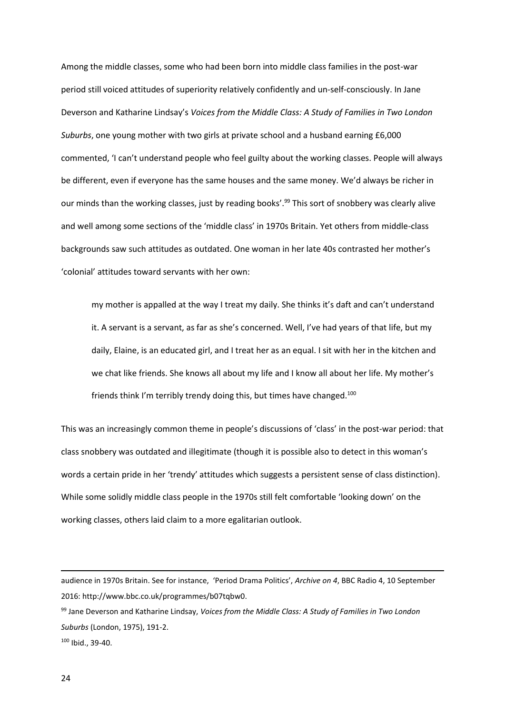Among the middle classes, some who had been born into middle class families in the post-war period still voiced attitudes of superiority relatively confidently and un-self-consciously. In Jane Deverson and Katharine Lindsay's *Voices from the Middle Class: A Study of Families in Two London Suburbs*, one young mother with two girls at private school and a husband earning £6,000 commented, 'I can't understand people who feel guilty about the working classes. People will always be different, even if everyone has the same houses and the same money. We'd always be richer in our minds than the working classes, just by reading books'.<sup>99</sup> This sort of snobbery was clearly alive and well among some sections of the 'middle class' in 1970s Britain. Yet others from middle-class backgrounds saw such attitudes as outdated. One woman in her late 40s contrasted her mother's 'colonial' attitudes toward servants with her own:

my mother is appalled at the way I treat my daily. She thinks it's daft and can't understand it. A servant is a servant, as far as she's concerned. Well, I've had years of that life, but my daily, Elaine, is an educated girl, and I treat her as an equal. I sit with her in the kitchen and we chat like friends. She knows all about my life and I know all about her life. My mother's friends think I'm terribly trendy doing this, but times have changed.<sup>100</sup>

This was an increasingly common theme in people's discussions of 'class' in the post-war period: that class snobbery was outdated and illegitimate (though it is possible also to detect in this woman's words a certain pride in her 'trendy' attitudes which suggests a persistent sense of class distinction). While some solidly middle class people in the 1970s still felt comfortable 'looking down' on the working classes, others laid claim to a more egalitarian outlook.

audience in 1970s Britain. See for instance, 'Period Drama Politics', *Archive on 4*, BBC Radio 4, 10 September 2016: http://www.bbc.co.uk/programmes/b07tqbw0.

<sup>99</sup> Jane Deverson and Katharine Lindsay, *Voices from the Middle Class: A Study of Families in Two London Suburbs* (London, 1975), 191-2. <sup>100</sup> Ibid., 39-40.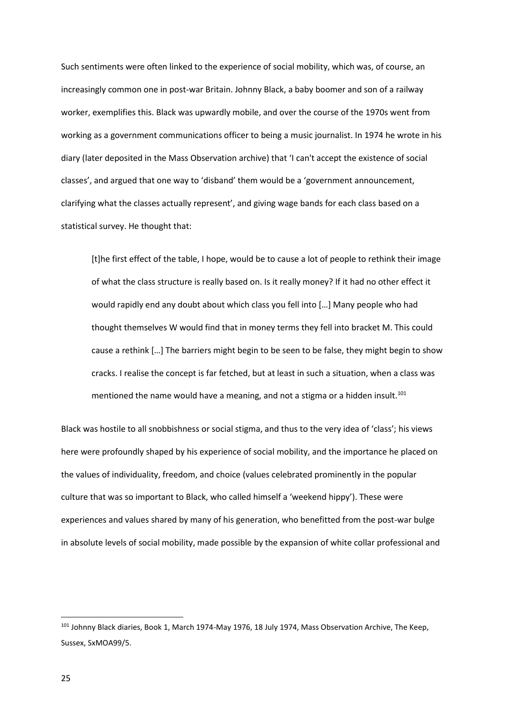Such sentiments were often linked to the experience of social mobility, which was, of course, an increasingly common one in post-war Britain. Johnny Black, a baby boomer and son of a railway worker, exemplifies this. Black was upwardly mobile, and over the course of the 1970s went from working as a government communications officer to being a music journalist. In 1974 he wrote in his diary (later deposited in the Mass Observation archive) that 'I can't accept the existence of social classes', and argued that one way to 'disband' them would be a 'government announcement, clarifying what the classes actually represent', and giving wage bands for each class based on a statistical survey. He thought that:

[t]he first effect of the table, I hope, would be to cause a lot of people to rethink their image of what the class structure is really based on. Is it really money? If it had no other effect it would rapidly end any doubt about which class you fell into […] Many people who had thought themselves W would find that in money terms they fell into bracket M. This could cause a rethink […] The barriers might begin to be seen to be false, they might begin to show cracks. I realise the concept is far fetched, but at least in such a situation, when a class was mentioned the name would have a meaning, and not a stigma or a hidden insult.<sup>101</sup>

Black was hostile to all snobbishness or social stigma, and thus to the very idea of 'class'; his views here were profoundly shaped by his experience of social mobility, and the importance he placed on the values of individuality, freedom, and choice (values celebrated prominently in the popular culture that was so important to Black, who called himself a 'weekend hippy'). These were experiences and values shared by many of his generation, who benefitted from the post-war bulge in absolute levels of social mobility, made possible by the expansion of white collar professional and

<sup>101</sup> Johnny Black diaries, Book 1, March 1974-May 1976, 18 July 1974, Mass Observation Archive, The Keep, Sussex, SxMOA99/5.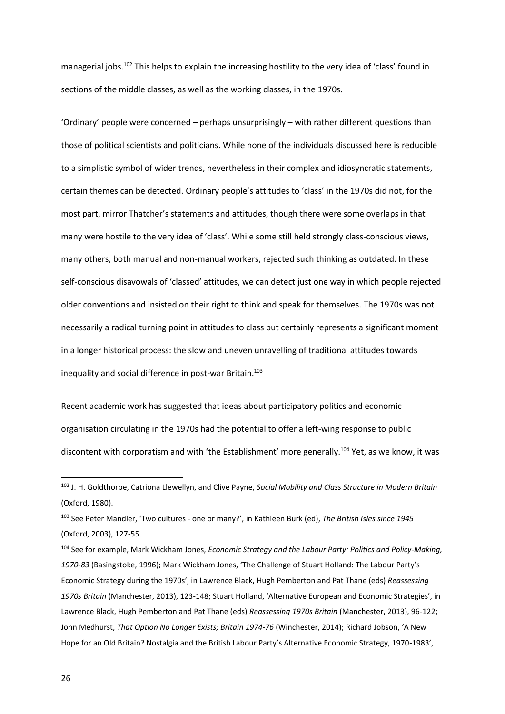managerial jobs.<sup>102</sup> This helps to explain the increasing hostility to the very idea of 'class' found in sections of the middle classes, as well as the working classes, in the 1970s.

'Ordinary' people were concerned – perhaps unsurprisingly – with rather different questions than those of political scientists and politicians. While none of the individuals discussed here is reducible to a simplistic symbol of wider trends, nevertheless in their complex and idiosyncratic statements, certain themes can be detected. Ordinary people's attitudes to 'class' in the 1970s did not, for the most part, mirror Thatcher's statements and attitudes, though there were some overlaps in that many were hostile to the very idea of 'class'. While some still held strongly class-conscious views, many others, both manual and non-manual workers, rejected such thinking as outdated. In these self-conscious disavowals of 'classed' attitudes, we can detect just one way in which people rejected older conventions and insisted on their right to think and speak for themselves. The 1970s was not necessarily a radical turning point in attitudes to class but certainly represents a significant moment in a longer historical process: the slow and uneven unravelling of traditional attitudes towards inequality and social difference in post-war Britain.<sup>103</sup>

Recent academic work has suggested that ideas about participatory politics and economic organisation circulating in the 1970s had the potential to offer a left-wing response to public discontent with corporatism and with 'the Establishment' more generally.<sup>104</sup> Yet, as we know, it was

<sup>102</sup> J. H. Goldthorpe, Catriona Llewellyn, and Clive Payne, *Social Mobility and Class Structure in Modern Britain* (Oxford, 1980).

<sup>103</sup> See Peter Mandler, 'Two cultures - one or many?', in Kathleen Burk (ed), *The British Isles since 1945*  (Oxford, 2003), 127-55.

<sup>104</sup> See for example, Mark Wickham Jones, *Economic Strategy and the Labour Party: Politics and Policy-Making, 1970-83* (Basingstoke, 1996); Mark Wickham Jones, 'The Challenge of Stuart Holland: The Labour Party's Economic Strategy during the 1970s', in Lawrence Black, Hugh Pemberton and Pat Thane (eds) *Reassessing 1970s Britain* (Manchester, 2013), 123-148; Stuart Holland, 'Alternative European and Economic Strategies', in Lawrence Black, Hugh Pemberton and Pat Thane (eds) *Reassessing 1970s Britain* (Manchester, 2013), 96-122; John Medhurst, *That Option No Longer Exists; Britain 1974-76* (Winchester, 2014); Richard Jobson, 'A New Hope for an Old Britain? Nostalgia and the British Labour Party's Alternative Economic Strategy, 1970-1983',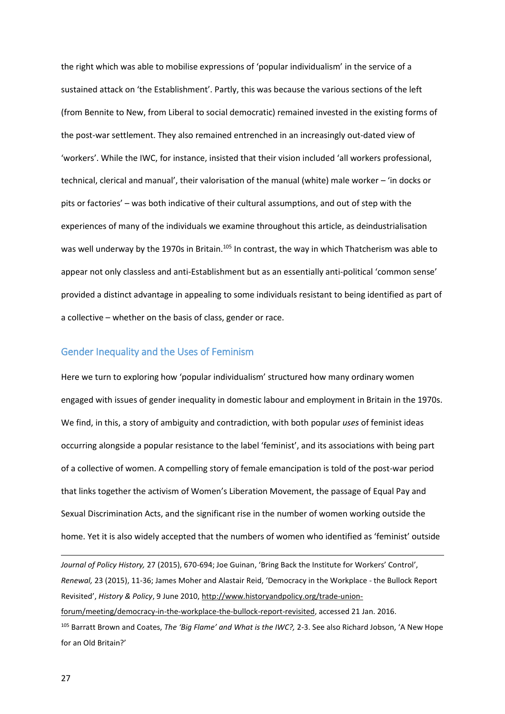the right which was able to mobilise expressions of 'popular individualism' in the service of a sustained attack on 'the Establishment'. Partly, this was because the various sections of the left (from Bennite to New, from Liberal to social democratic) remained invested in the existing forms of the post-war settlement. They also remained entrenched in an increasingly out-dated view of 'workers'. While the IWC, for instance, insisted that their vision included 'all workers professional, technical, clerical and manual', their valorisation of the manual (white) male worker – 'in docks or pits or factories' – was both indicative of their cultural assumptions, and out of step with the experiences of many of the individuals we examine throughout this article, as deindustrialisation was well underway by the 1970s in Britain.<sup>105</sup> In contrast, the way in which Thatcherism was able to appear not only classless and anti-Establishment but as an essentially anti-political 'common sense' provided a distinct advantage in appealing to some individuals resistant to being identified as part of a collective – whether on the basis of class, gender or race.

#### Gender Inequality and the Uses of Feminism

Here we turn to exploring how 'popular individualism' structured how many ordinary women engaged with issues of gender inequality in domestic labour and employment in Britain in the 1970s. We find, in this, a story of ambiguity and contradiction, with both popular *uses* of feminist ideas occurring alongside a popular resistance to the label 'feminist', and its associations with being part of a collective of women. A compelling story of female emancipation is told of the post-war period that links together the activism of Women's Liberation Movement, the passage of Equal Pay and Sexual Discrimination Acts, and the significant rise in the number of women working outside the home. Yet it is also widely accepted that the numbers of women who identified as 'feminist' outside

*Journal of Policy History,* 27 (2015), 670-694; Joe Guinan, 'Bring Back the Institute for Workers' Control', *Renewal,* 23 (2015), 11-36; James Moher and Alastair Reid, 'Democracy in the Workplace - the Bullock Report Revisited', *History & Policy*, 9 June 2010, [http://www.historyandpolicy.org/trade-union](http://www.historyandpolicy.org/trade-union-forum/meeting/democracy-in-the-workplace-the-bullock-report-revisited)[forum/meeting/democracy-in-the-workplace-the-bullock-report-revisited,](http://www.historyandpolicy.org/trade-union-forum/meeting/democracy-in-the-workplace-the-bullock-report-revisited) accessed 21 Jan. 2016.

<sup>105</sup> Barratt Brown and Coates, *The 'Big Flame' and What is the IWC?,* 2-3. See also Richard Jobson, 'A New Hope for an Old Britain?'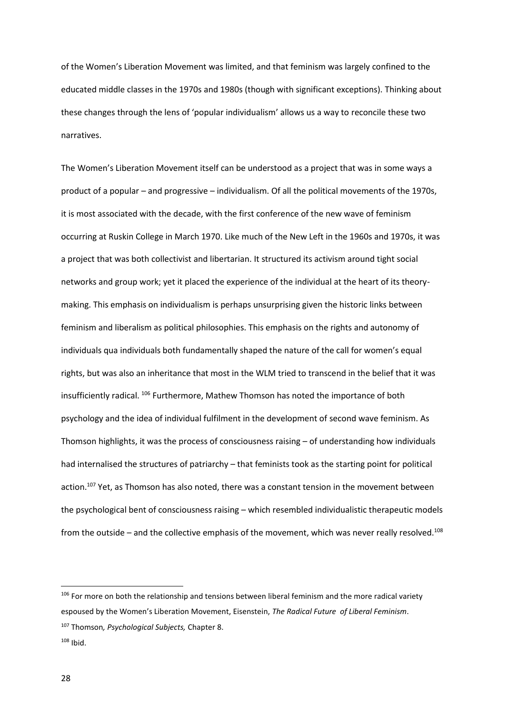of the Women's Liberation Movement was limited, and that feminism was largely confined to the educated middle classes in the 1970s and 1980s (though with significant exceptions). Thinking about these changes through the lens of 'popular individualism' allows us a way to reconcile these two narratives.

The Women's Liberation Movement itself can be understood as a project that was in some ways a product of a popular – and progressive – individualism. Of all the political movements of the 1970s, it is most associated with the decade, with the first conference of the new wave of feminism occurring at Ruskin College in March 1970. Like much of the New Left in the 1960s and 1970s, it was a project that was both collectivist and libertarian. It structured its activism around tight social networks and group work; yet it placed the experience of the individual at the heart of its theorymaking. This emphasis on individualism is perhaps unsurprising given the historic links between feminism and liberalism as political philosophies. This emphasis on the rights and autonomy of individuals qua individuals both fundamentally shaped the nature of the call for women's equal rights, but was also an inheritance that most in the WLM tried to transcend in the belief that it was insufficiently radical. <sup>106</sup> Furthermore, Mathew Thomson has noted the importance of both psychology and the idea of individual fulfilment in the development of second wave feminism. As Thomson highlights, it was the process of consciousness raising – of understanding how individuals had internalised the structures of patriarchy – that feminists took as the starting point for political action.<sup>107</sup> Yet, as Thomson has also noted, there was a constant tension in the movement between the psychological bent of consciousness raising – which resembled individualistic therapeutic models from the outside – and the collective emphasis of the movement, which was never really resolved.<sup>108</sup>

<sup>&</sup>lt;sup>106</sup> For more on both the relationship and tensions between liberal feminism and the more radical variety espoused by the Women's Liberation Movement, Eisenstein, *The Radical Future of Liberal Feminism*. <sup>107</sup> Thomson*, Psychological Subjects,* Chapter 8.

 $108$  Ibid.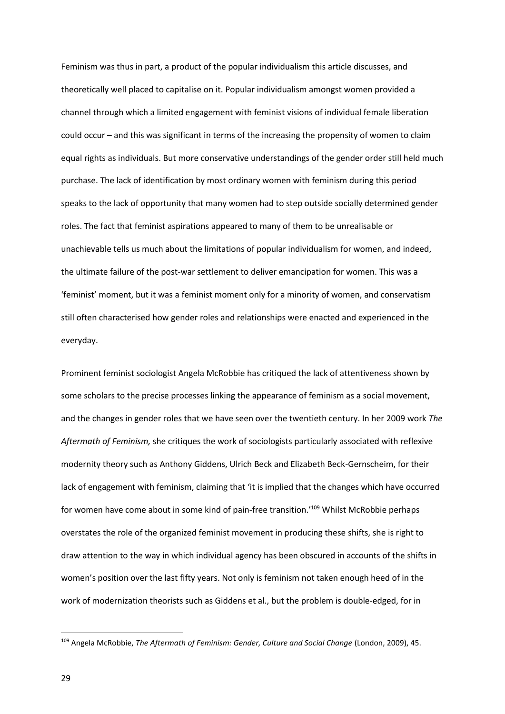Feminism was thus in part, a product of the popular individualism this article discusses, and theoretically well placed to capitalise on it. Popular individualism amongst women provided a channel through which a limited engagement with feminist visions of individual female liberation could occur – and this was significant in terms of the increasing the propensity of women to claim equal rights as individuals. But more conservative understandings of the gender order still held much purchase. The lack of identification by most ordinary women with feminism during this period speaks to the lack of opportunity that many women had to step outside socially determined gender roles. The fact that feminist aspirations appeared to many of them to be unrealisable or unachievable tells us much about the limitations of popular individualism for women, and indeed, the ultimate failure of the post-war settlement to deliver emancipation for women. This was a 'feminist' moment, but it was a feminist moment only for a minority of women, and conservatism still often characterised how gender roles and relationships were enacted and experienced in the everyday.

Prominent feminist sociologist Angela McRobbie has critiqued the lack of attentiveness shown by some scholars to the precise processes linking the appearance of feminism as a social movement, and the changes in gender roles that we have seen over the twentieth century. In her 2009 work *The Aftermath of Feminism,* she critiques the work of sociologists particularly associated with reflexive modernity theory such as Anthony Giddens, Ulrich Beck and Elizabeth Beck-Gernscheim, for their lack of engagement with feminism, claiming that 'it is implied that the changes which have occurred for women have come about in some kind of pain-free transition.'<sup>109</sup> Whilst McRobbie perhaps overstates the role of the organized feminist movement in producing these shifts, she is right to draw attention to the way in which individual agency has been obscured in accounts of the shifts in women's position over the last fifty years. Not only is feminism not taken enough heed of in the work of modernization theorists such as Giddens et al., but the problem is double-edged, for in

<sup>109</sup> Angela McRobbie, *The Aftermath of Feminism: Gender, Culture and Social Change* (London, 2009), 45.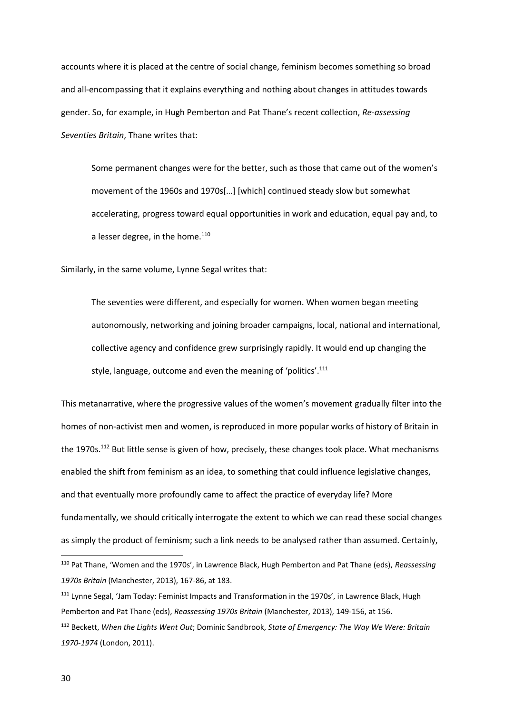accounts where it is placed at the centre of social change, feminism becomes something so broad and all-encompassing that it explains everything and nothing about changes in attitudes towards gender. So, for example, in Hugh Pemberton and Pat Thane's recent collection, *Re-assessing Seventies Britain*, Thane writes that:

Some permanent changes were for the better, such as those that came out of the women's movement of the 1960s and 1970s[…] [which] continued steady slow but somewhat accelerating, progress toward equal opportunities in work and education, equal pay and, to a lesser degree, in the home.<sup>110</sup>

Similarly, in the same volume, Lynne Segal writes that:

The seventies were different, and especially for women. When women began meeting autonomously, networking and joining broader campaigns, local, national and international, collective agency and confidence grew surprisingly rapidly. It would end up changing the style, language, outcome and even the meaning of 'politics'.<sup>111</sup>

This metanarrative, where the progressive values of the women's movement gradually filter into the homes of non-activist men and women, is reproduced in more popular works of history of Britain in the 1970s.<sup>112</sup> But little sense is given of how, precisely, these changes took place. What mechanisms enabled the shift from feminism as an idea, to something that could influence legislative changes, and that eventually more profoundly came to affect the practice of everyday life? More fundamentally, we should critically interrogate the extent to which we can read these social changes as simply the product of feminism; such a link needs to be analysed rather than assumed. Certainly,

<sup>110</sup> Pat Thane, 'Women and the 1970s', in Lawrence Black, Hugh Pemberton and Pat Thane (eds), *Reassessing 1970s Britain* (Manchester, 2013), 167-86, at 183.

<sup>&</sup>lt;sup>111</sup> Lynne Segal, 'Jam Today: Feminist Impacts and Transformation in the 1970s', in Lawrence Black, Hugh Pemberton and Pat Thane (eds), *Reassessing 1970s Britain* (Manchester, 2013), 149-156, at 156.

<sup>112</sup> Beckett, *When the Lights Went Out*; Dominic Sandbrook, *State of Emergency: The Way We Were: Britain 1970-1974* (London, 2011).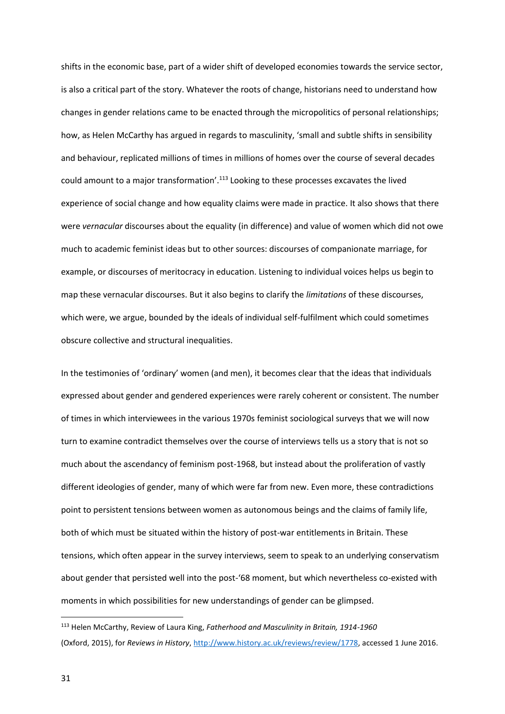shifts in the economic base, part of a wider shift of developed economies towards the service sector, is also a critical part of the story. Whatever the roots of change, historians need to understand how changes in gender relations came to be enacted through the micropolitics of personal relationships; how, as Helen McCarthy has argued in regards to masculinity, 'small and subtle shifts in sensibility and behaviour, replicated millions of times in millions of homes over the course of several decades could amount to a major transformation'.<sup>113</sup> Looking to these processes excavates the lived experience of social change and how equality claims were made in practice. It also shows that there were *vernacular* discourses about the equality (in difference) and value of women which did not owe much to academic feminist ideas but to other sources: discourses of companionate marriage, for example, or discourses of meritocracy in education. Listening to individual voices helps us begin to map these vernacular discourses. But it also begins to clarify the *limitations* of these discourses, which were, we argue, bounded by the ideals of individual self-fulfilment which could sometimes obscure collective and structural inequalities.

In the testimonies of 'ordinary' women (and men), it becomes clear that the ideas that individuals expressed about gender and gendered experiences were rarely coherent or consistent. The number of times in which interviewees in the various 1970s feminist sociological surveys that we will now turn to examine contradict themselves over the course of interviews tells us a story that is not so much about the ascendancy of feminism post-1968, but instead about the proliferation of vastly different ideologies of gender, many of which were far from new. Even more, these contradictions point to persistent tensions between women as autonomous beings and the claims of family life, both of which must be situated within the history of post-war entitlements in Britain. These tensions, which often appear in the survey interviews, seem to speak to an underlying conservatism about gender that persisted well into the post-'68 moment, but which nevertheless co-existed with moments in which possibilities for new understandings of gender can be glimpsed.

<sup>113</sup> Helen McCarthy, Review of Laura King, *Fatherhood and Masculinity in Britain, 1914-1960* (Oxford, 2015), for *Reviews in History*, [http://www.history.ac.uk/reviews/review/1778,](http://www.history.ac.uk/reviews/review/1778) accessed 1 June 2016.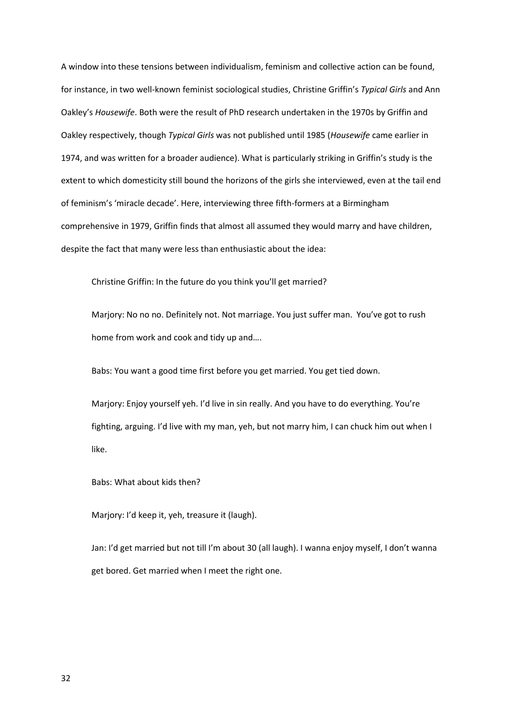A window into these tensions between individualism, feminism and collective action can be found, for instance, in two well-known feminist sociological studies, Christine Griffin's *Typical Girls* and Ann Oakley's *Housewife*. Both were the result of PhD research undertaken in the 1970s by Griffin and Oakley respectively, though *Typical Girls* was not published until 1985 (*Housewife* came earlier in 1974, and was written for a broader audience). What is particularly striking in Griffin's study is the extent to which domesticity still bound the horizons of the girls she interviewed, even at the tail end of feminism's 'miracle decade'. Here, interviewing three fifth-formers at a Birmingham comprehensive in 1979, Griffin finds that almost all assumed they would marry and have children, despite the fact that many were less than enthusiastic about the idea:

Christine Griffin: In the future do you think you'll get married?

Marjory: No no no. Definitely not. Not marriage. You just suffer man. You've got to rush home from work and cook and tidy up and….

Babs: You want a good time first before you get married. You get tied down.

Marjory: Enjoy yourself yeh. I'd live in sin really. And you have to do everything. You're fighting, arguing. I'd live with my man, yeh, but not marry him, I can chuck him out when I like.

Babs: What about kids then?

Marjory: I'd keep it, yeh, treasure it (laugh).

Jan: I'd get married but not till I'm about 30 (all laugh). I wanna enjoy myself, I don't wanna get bored. Get married when I meet the right one.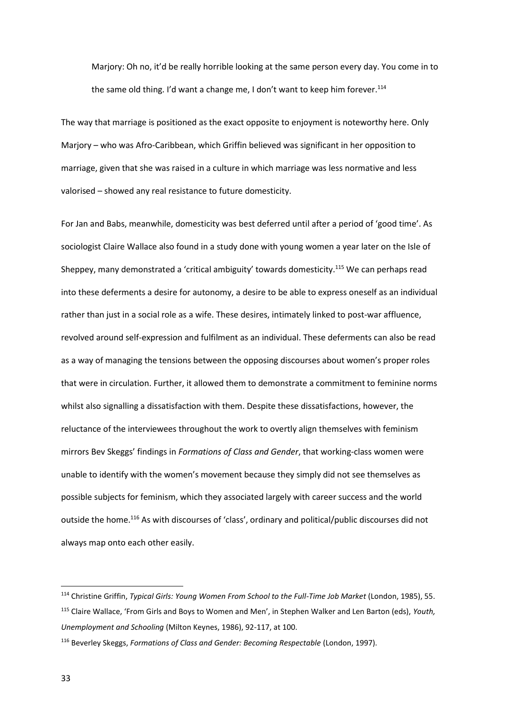Marjory: Oh no, it'd be really horrible looking at the same person every day. You come in to the same old thing. I'd want a change me, I don't want to keep him forever.<sup>114</sup>

The way that marriage is positioned as the exact opposite to enjoyment is noteworthy here. Only Marjory – who was Afro-Caribbean, which Griffin believed was significant in her opposition to marriage, given that she was raised in a culture in which marriage was less normative and less valorised – showed any real resistance to future domesticity.

For Jan and Babs, meanwhile, domesticity was best deferred until after a period of 'good time'. As sociologist Claire Wallace also found in a study done with young women a year later on the Isle of Sheppey, many demonstrated a 'critical ambiguity' towards domesticity.<sup>115</sup> We can perhaps read into these deferments a desire for autonomy, a desire to be able to express oneself as an individual rather than just in a social role as a wife. These desires, intimately linked to post-war affluence, revolved around self-expression and fulfilment as an individual. These deferments can also be read as a way of managing the tensions between the opposing discourses about women's proper roles that were in circulation. Further, it allowed them to demonstrate a commitment to feminine norms whilst also signalling a dissatisfaction with them. Despite these dissatisfactions, however, the reluctance of the interviewees throughout the work to overtly align themselves with feminism mirrors Bev Skeggs' findings in *Formations of Class and Gender*, that working-class women were unable to identify with the women's movement because they simply did not see themselves as possible subjects for feminism, which they associated largely with career success and the world outside the home.<sup>116</sup> As with discourses of 'class', ordinary and political/public discourses did not always map onto each other easily.

<sup>114</sup> Christine Griffin, *Typical Girls: Young Women From School to the Full-Time Job Market* (London, 1985), 55. <sup>115</sup> Claire Wallace, 'From Girls and Boys to Women and Men', in Stephen Walker and Len Barton (eds), *Youth, Unemployment and Schooling* (Milton Keynes, 1986), 92-117, at 100.

<sup>116</sup> Beverley Skeggs, *Formations of Class and Gender: Becoming Respectable* (London, 1997).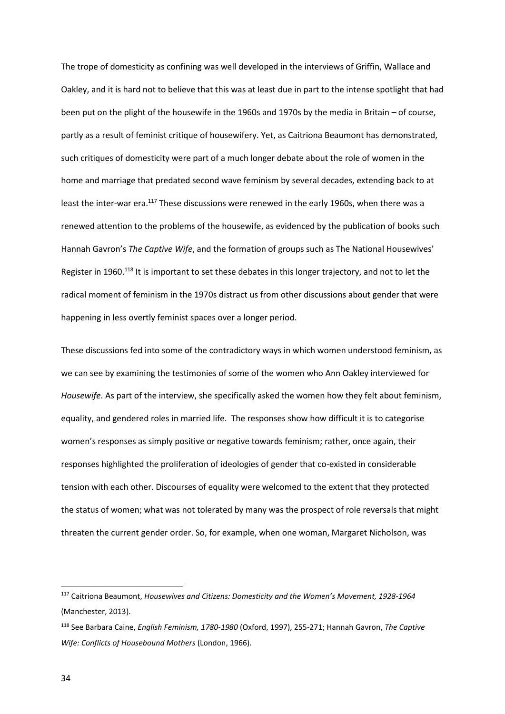The trope of domesticity as confining was well developed in the interviews of Griffin, Wallace and Oakley, and it is hard not to believe that this was at least due in part to the intense spotlight that had been put on the plight of the housewife in the 1960s and 1970s by the media in Britain – of course, partly as a result of feminist critique of housewifery. Yet, as Caitriona Beaumont has demonstrated, such critiques of domesticity were part of a much longer debate about the role of women in the home and marriage that predated second wave feminism by several decades, extending back to at least the inter-war era.<sup>117</sup> These discussions were renewed in the early 1960s, when there was a renewed attention to the problems of the housewife, as evidenced by the publication of books such Hannah Gavron's *The Captive Wife*, and the formation of groups such as The National Housewives' Register in 1960.<sup>118</sup> It is important to set these debates in this longer trajectory, and not to let the radical moment of feminism in the 1970s distract us from other discussions about gender that were happening in less overtly feminist spaces over a longer period.

These discussions fed into some of the contradictory ways in which women understood feminism, as we can see by examining the testimonies of some of the women who Ann Oakley interviewed for *Housewife*. As part of the interview, she specifically asked the women how they felt about feminism, equality, and gendered roles in married life. The responses show how difficult it is to categorise women's responses as simply positive or negative towards feminism; rather, once again, their responses highlighted the proliferation of ideologies of gender that co-existed in considerable tension with each other. Discourses of equality were welcomed to the extent that they protected the status of women; what was not tolerated by many was the prospect of role reversals that might threaten the current gender order. So, for example, when one woman, Margaret Nicholson, was

<sup>117</sup> Caitriona Beaumont, *Housewives and Citizens: Domesticity and the Women's Movement, 1928-1964*  (Manchester, 2013).

<sup>118</sup> See Barbara Caine, *English Feminism, 1780-1980* (Oxford, 1997), 255-271; Hannah Gavron, *The Captive Wife: Conflicts of Housebound Mothers* (London, 1966).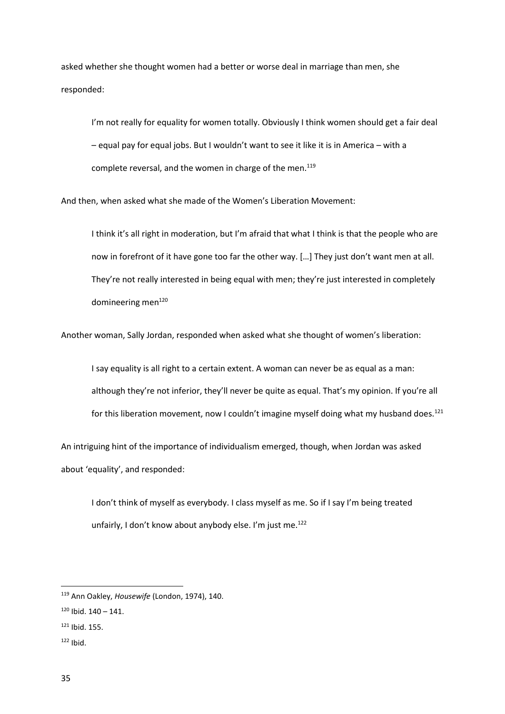asked whether she thought women had a better or worse deal in marriage than men, she responded:

I'm not really for equality for women totally. Obviously I think women should get a fair deal – equal pay for equal jobs. But I wouldn't want to see it like it is in America – with a complete reversal, and the women in charge of the men.<sup>119</sup>

And then, when asked what she made of the Women's Liberation Movement:

I think it's all right in moderation, but I'm afraid that what I think is that the people who are now in forefront of it have gone too far the other way. […] They just don't want men at all. They're not really interested in being equal with men; they're just interested in completely domineering men $120$ 

Another woman, Sally Jordan, responded when asked what she thought of women's liberation:

I say equality is all right to a certain extent. A woman can never be as equal as a man: although they're not inferior, they'll never be quite as equal. That's my opinion. If you're all for this liberation movement, now I couldn't imagine myself doing what my husband does.<sup>121</sup>

An intriguing hint of the importance of individualism emerged, though, when Jordan was asked about 'equality', and responded:

I don't think of myself as everybody. I class myself as me. So if I say I'm being treated unfairly, I don't know about anybody else. I'm just me.<sup>122</sup>

- <sup>121</sup> Ibid. 155.
- $122$  Ibid.

<sup>119</sup> Ann Oakley, *Housewife* (London, 1974), 140.

 $120$  Ibid.  $140 - 141$ .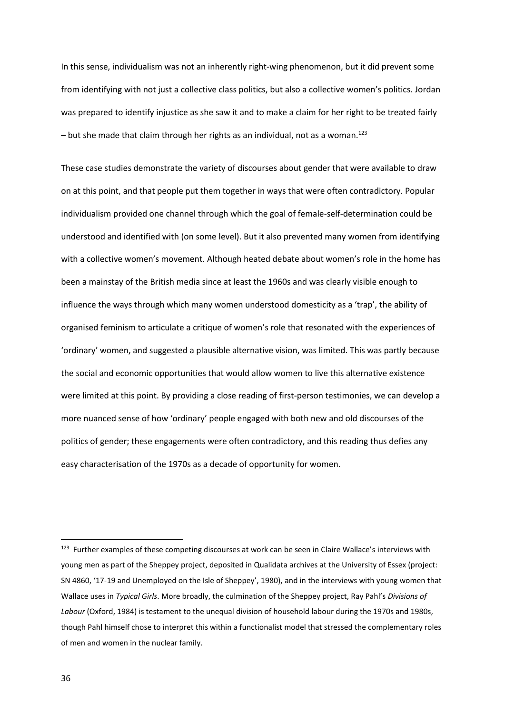In this sense, individualism was not an inherently right-wing phenomenon, but it did prevent some from identifying with not just a collective class politics, but also a collective women's politics. Jordan was prepared to identify injustice as she saw it and to make a claim for her right to be treated fairly  $-$  but she made that claim through her rights as an individual, not as a woman.<sup>123</sup>

These case studies demonstrate the variety of discourses about gender that were available to draw on at this point, and that people put them together in ways that were often contradictory. Popular individualism provided one channel through which the goal of female-self-determination could be understood and identified with (on some level). But it also prevented many women from identifying with a collective women's movement. Although heated debate about women's role in the home has been a mainstay of the British media since at least the 1960s and was clearly visible enough to influence the ways through which many women understood domesticity as a 'trap', the ability of organised feminism to articulate a critique of women's role that resonated with the experiences of 'ordinary' women, and suggested a plausible alternative vision, was limited. This was partly because the social and economic opportunities that would allow women to live this alternative existence were limited at this point. By providing a close reading of first-person testimonies, we can develop a more nuanced sense of how 'ordinary' people engaged with both new and old discourses of the politics of gender; these engagements were often contradictory, and this reading thus defies any easy characterisation of the 1970s as a decade of opportunity for women.

<sup>&</sup>lt;sup>123</sup> Further examples of these competing discourses at work can be seen in Claire Wallace's interviews with young men as part of the Sheppey project, deposited in Qualidata archives at the University of Essex (project: SN 4860, '17-19 and Unemployed on the Isle of Sheppey', 1980), and in the interviews with young women that Wallace uses in *Typical Girls*. More broadly, the culmination of the Sheppey project, Ray Pahl's *Divisions of Labour* (Oxford, 1984) is testament to the unequal division of household labour during the 1970s and 1980s, though Pahl himself chose to interpret this within a functionalist model that stressed the complementary roles of men and women in the nuclear family.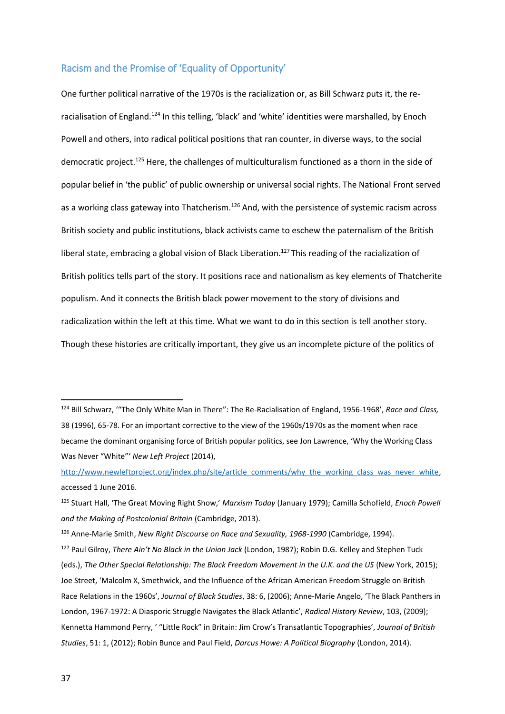# Racism and the Promise of 'Equality of Opportunity'

One further political narrative of the 1970s is the racialization or, as Bill Schwarz puts it, the reracialisation of England.<sup>124</sup> In this telling, 'black' and 'white' identities were marshalled, by Enoch Powell and others, into radical political positions that ran counter, in diverse ways, to the social democratic project.<sup>125</sup> Here, the challenges of multiculturalism functioned as a thorn in the side of popular belief in 'the public' of public ownership or universal social rights. The National Front served as a working class gateway into Thatcherism.<sup>126</sup> And, with the persistence of systemic racism across British society and public institutions, black activists came to eschew the paternalism of the British liberal state, embracing a global vision of Black Liberation.<sup>127</sup> This reading of the racialization of British politics tells part of the story. It positions race and nationalism as key elements of Thatcherite populism. And it connects the British black power movement to the story of divisions and radicalization within the left at this time. What we want to do in this section is tell another story. Though these histories are critically important, they give us an incomplete picture of the politics of

<sup>124</sup> Bill Schwarz, '"The Only White Man in There": The Re-Racialisation of England, 1956-1968', *Race and Class,*  38 (1996), 65-78. For an important corrective to the view of the 1960s/1970s as the moment when race became the dominant organising force of British popular politics, see Jon Lawrence, 'Why the Working Class Was Never "White"' *New Left Project* (2014),

[http://www.newleftproject.org/index.php/site/article\\_comments/why\\_the\\_working\\_class\\_was\\_never\\_white,](http://www.newleftproject.org/index.php/site/article_comments/why_the_working_class_was_never_white) accessed 1 June 2016.

<sup>125</sup> Stuart Hall, 'The Great Moving Right Show,' *Marxism Today* (January 1979); Camilla Schofield, *Enoch Powell and the Making of Postcolonial Britain* (Cambridge, 2013).

<sup>126</sup> Anne-Marie Smith, *New Right Discourse on Race and Sexuality, 1968-1990* (Cambridge, 1994).

<sup>127</sup> Paul Gilroy, *There Ain't No Black in the Union Jack* (London, 1987); Robin D.G. Kelley and Stephen Tuck (eds.), *The Other Special Relationship: The Black Freedom Movement in the U.K. and the US* (New York, 2015); Joe Street, 'Malcolm X, Smethwick, and the Influence of the African American Freedom Struggle on British Race Relations in the 1960s', *Journal of Black Studies*, 38: 6, (2006); Anne-Marie Angelo, 'The Black Panthers in London, 1967-1972: A Diasporic Struggle Navigates the Black Atlantic', *Radical History Review*, 103, (2009); Kennetta Hammond Perry, ' "Little Rock" in Britain: Jim Crow's Transatlantic Topographies', *Journal of British Studies*, 51: 1, (2012); Robin Bunce and Paul Field, *Darcus Howe: A Political Biography* (London, 2014).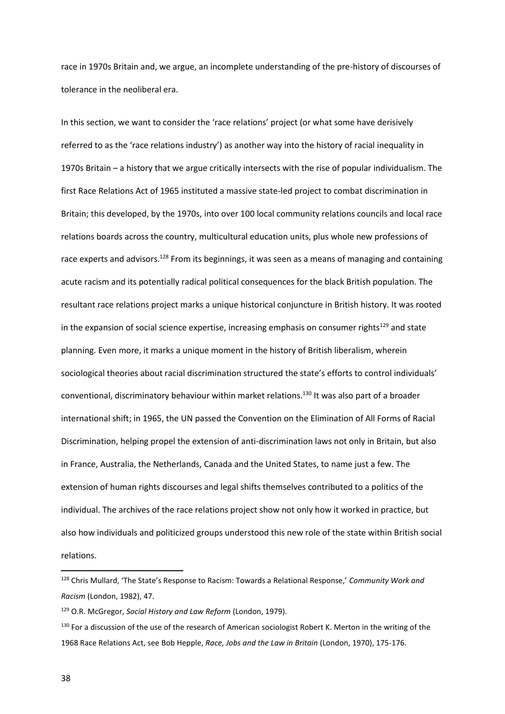race in 1970s Britain and, we argue, an incomplete understanding of the pre-history of discourses of tolerance in the neoliberal era.

In this section, we want to consider the 'race relations' project (or what some have derisively referred to as the 'race relations industry') as another way into the history of racial inequality in 1970s Britain – a history that we argue critically intersects with the rise of popular individualism. The first Race Relations Act of 1965 instituted a massive state-led project to combat discrimination in Britain; this developed, by the 1970s, into over 100 local community relations councils and local race relations boards across the country, multicultural education units, plus whole new professions of race experts and advisors.<sup>128</sup> From its beginnings, it was seen as a means of managing and containing acute racism and its potentially radical political consequences for the black British population. The resultant race relations project marks a unique historical conjuncture in British history. It was rooted in the expansion of social science expertise, increasing emphasis on consumer rights<sup>129</sup> and state planning. Even more, it marks a unique moment in the history of British liberalism, wherein sociological theories about racial discrimination structured the state's efforts to control individuals' conventional, discriminatory behaviour within market relations.<sup>130</sup> It was also part of a broader international shift; in 1965, the UN passed the Convention on the Elimination of All Forms of Racial Discrimination, helping propel the extension of anti-discrimination laws not only in Britain, but also in France, Australia, the Netherlands, Canada and the United States, to name just a few. The extension of human rights discourses and legal shifts themselves contributed to a politics of the individual. The archives of the race relations project show not only how it worked in practice, but also how individuals and politicized groups understood this new role of the state within British social relations.

<sup>128</sup> Chris Mullard, 'The State's Response to Racism: Towards a Relational Response,' *Community Work and Racism* (London, 1982), 47.

<sup>129</sup> O.R. McGregor, *Social History and Law Reform* (London, 1979).

<sup>&</sup>lt;sup>130</sup> For a discussion of the use of the research of American sociologist Robert K. Merton in the writing of the 1968 Race Relations Act, see Bob Hepple, *Race, Jobs and the Law in Britain* (London, 1970), 175-176.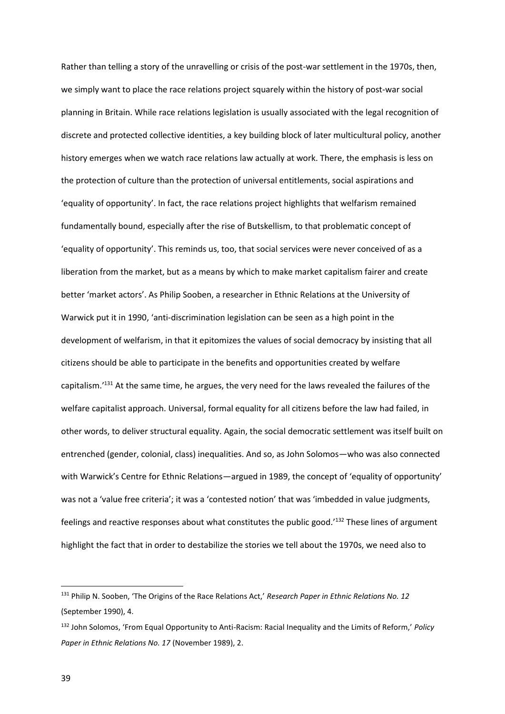Rather than telling a story of the unravelling or crisis of the post-war settlement in the 1970s, then, we simply want to place the race relations project squarely within the history of post-war social planning in Britain. While race relations legislation is usually associated with the legal recognition of discrete and protected collective identities, a key building block of later multicultural policy, another history emerges when we watch race relations law actually at work. There, the emphasis is less on the protection of culture than the protection of universal entitlements, social aspirations and 'equality of opportunity'. In fact, the race relations project highlights that welfarism remained fundamentally bound, especially after the rise of Butskellism, to that problematic concept of 'equality of opportunity'. This reminds us, too, that social services were never conceived of as a liberation from the market, but as a means by which to make market capitalism fairer and create better 'market actors'. As Philip Sooben, a researcher in Ethnic Relations at the University of Warwick put it in 1990, 'anti-discrimination legislation can be seen as a high point in the development of welfarism, in that it epitomizes the values of social democracy by insisting that all citizens should be able to participate in the benefits and opportunities created by welfare capitalism.'<sup>131</sup> At the same time, he argues, the very need for the laws revealed the failures of the welfare capitalist approach. Universal, formal equality for all citizens before the law had failed, in other words, to deliver structural equality. Again, the social democratic settlement was itself built on entrenched (gender, colonial, class) inequalities. And so, as John Solomos—who was also connected with Warwick's Centre for Ethnic Relations—argued in 1989, the concept of 'equality of opportunity' was not a 'value free criteria'; it was a 'contested notion' that was 'imbedded in value judgments, feelings and reactive responses about what constitutes the public good.'<sup>132</sup> These lines of argument highlight the fact that in order to destabilize the stories we tell about the 1970s, we need also to

<sup>131</sup> Philip N. Sooben, 'The Origins of the Race Relations Act,' *Research Paper in Ethnic Relations No. 12* (September 1990), 4.

<sup>132</sup> John Solomos, 'From Equal Opportunity to Anti-Racism: Racial Inequality and the Limits of Reform,' *Policy Paper in Ethnic Relations No. 17* (November 1989), 2.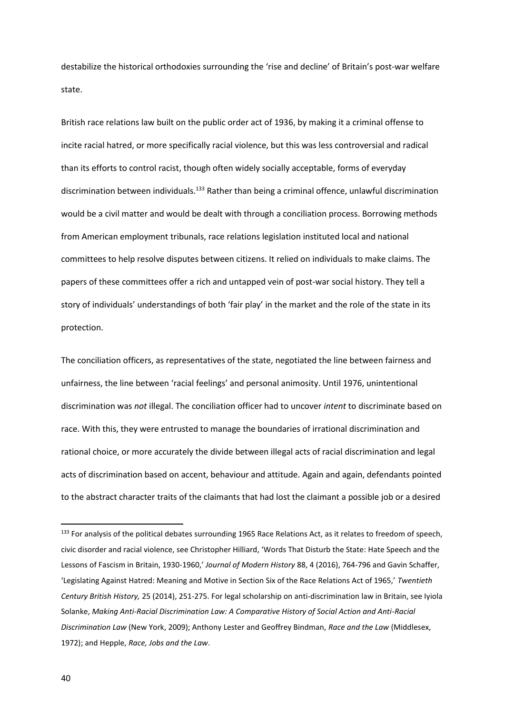destabilize the historical orthodoxies surrounding the 'rise and decline' of Britain's post-war welfare state.

British race relations law built on the public order act of 1936, by making it a criminal offense to incite racial hatred, or more specifically racial violence, but this was less controversial and radical than its efforts to control racist, though often widely socially acceptable, forms of everyday discrimination between individuals.<sup>133</sup> Rather than being a criminal offence, unlawful discrimination would be a civil matter and would be dealt with through a conciliation process. Borrowing methods from American employment tribunals, race relations legislation instituted local and national committees to help resolve disputes between citizens. It relied on individuals to make claims. The papers of these committees offer a rich and untapped vein of post-war social history. They tell a story of individuals' understandings of both 'fair play' in the market and the role of the state in its protection.

The conciliation officers, as representatives of the state, negotiated the line between fairness and unfairness, the line between 'racial feelings' and personal animosity. Until 1976, unintentional discrimination was *not* illegal. The conciliation officer had to uncover *intent* to discriminate based on race. With this, they were entrusted to manage the boundaries of irrational discrimination and rational choice, or more accurately the divide between illegal acts of racial discrimination and legal acts of discrimination based on accent, behaviour and attitude. Again and again, defendants pointed to the abstract character traits of the claimants that had lost the claimant a possible job or a desired

 $\overline{a}$ 

<sup>&</sup>lt;sup>133</sup> For analysis of the political debates surrounding 1965 Race Relations Act, as it relates to freedom of speech, civic disorder and racial violence, see Christopher Hilliard, 'Words That Disturb the State: Hate Speech and the Lessons of Fascism in Britain, 1930-1960,' *Journal of Modern History* 88, 4 (2016), 764-796 and Gavin Schaffer, 'Legislating Against Hatred: Meaning and Motive in Section Six of the Race Relations Act of 1965,' *Twentieth Century British History,* 25 (2014), 251-275. For legal scholarship on anti-discrimination law in Britain, see Iyiola Solanke, *Making Anti-Racial Discrimination Law: A Comparative History of Social Action and Anti-Racial Discrimination Law* (New York, 2009); Anthony Lester and Geoffrey Bindman, *Race and the Law* (Middlesex, 1972); and Hepple, *Race, Jobs and the Law*.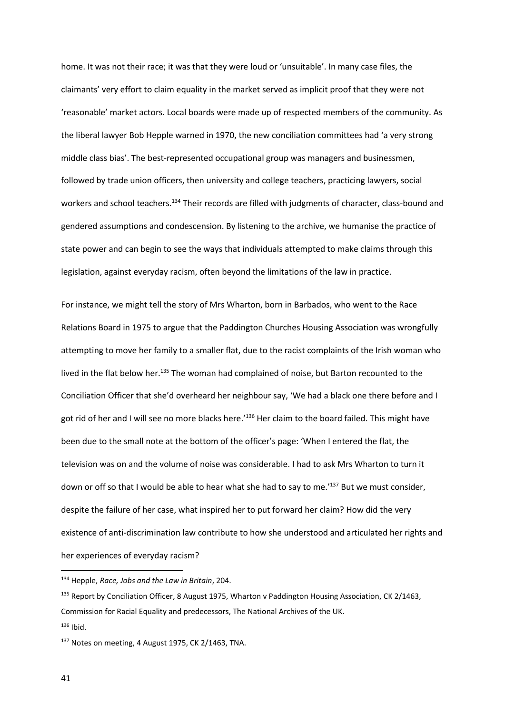home. It was not their race; it was that they were loud or 'unsuitable'. In many case files, the claimants' very effort to claim equality in the market served as implicit proof that they were not 'reasonable' market actors. Local boards were made up of respected members of the community. As the liberal lawyer Bob Hepple warned in 1970, the new conciliation committees had 'a very strong middle class bias'. The best-represented occupational group was managers and businessmen, followed by trade union officers, then university and college teachers, practicing lawyers, social workers and school teachers.<sup>134</sup> Their records are filled with judgments of character, class-bound and gendered assumptions and condescension. By listening to the archive, we humanise the practice of state power and can begin to see the ways that individuals attempted to make claims through this legislation, against everyday racism, often beyond the limitations of the law in practice.

For instance, we might tell the story of Mrs Wharton, born in Barbados, who went to the Race Relations Board in 1975 to argue that the Paddington Churches Housing Association was wrongfully attempting to move her family to a smaller flat, due to the racist complaints of the Irish woman who lived in the flat below her.<sup>135</sup> The woman had complained of noise, but Barton recounted to the Conciliation Officer that she'd overheard her neighbour say, 'We had a black one there before and I got rid of her and I will see no more blacks here.<sup>'136</sup> Her claim to the board failed. This might have been due to the small note at the bottom of the officer's page: 'When I entered the flat, the television was on and the volume of noise was considerable. I had to ask Mrs Wharton to turn it down or off so that I would be able to hear what she had to say to me.<sup>'137</sup> But we must consider, despite the failure of her case, what inspired her to put forward her claim? How did the very existence of anti-discrimination law contribute to how she understood and articulated her rights and her experiences of everyday racism?

<sup>134</sup> Hepple, *Race, Jobs and the Law in Britain*, 204.

<sup>&</sup>lt;sup>135</sup> Report by Conciliation Officer, 8 August 1975, Wharton v Paddington Housing Association, CK 2/1463, Commission for Racial Equality and predecessors, The National Archives of the UK.  $136$  Ibid.

<sup>137</sup> Notes on meeting, 4 August 1975, CK 2/1463, TNA.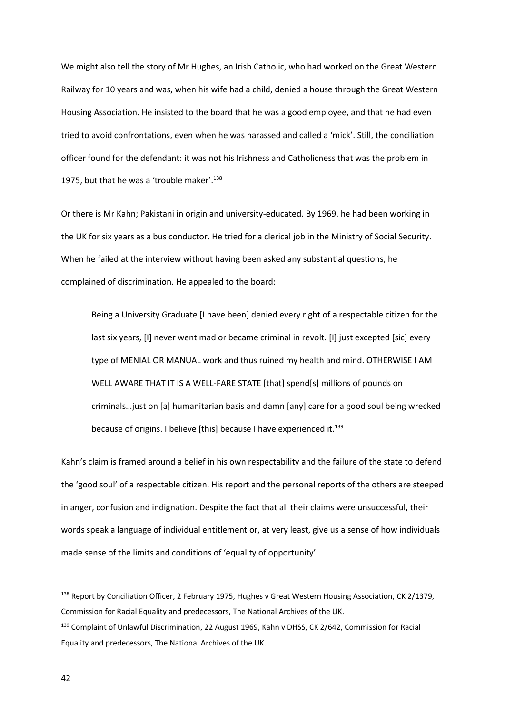We might also tell the story of Mr Hughes, an Irish Catholic, who had worked on the Great Western Railway for 10 years and was, when his wife had a child, denied a house through the Great Western Housing Association. He insisted to the board that he was a good employee, and that he had even tried to avoid confrontations, even when he was harassed and called a 'mick'. Still, the conciliation officer found for the defendant: it was not his Irishness and Catholicness that was the problem in 1975, but that he was a 'trouble maker'.<sup>138</sup>

Or there is Mr Kahn; Pakistani in origin and university-educated. By 1969, he had been working in the UK for six years as a bus conductor. He tried for a clerical job in the Ministry of Social Security. When he failed at the interview without having been asked any substantial questions, he complained of discrimination. He appealed to the board:

Being a University Graduate [I have been] denied every right of a respectable citizen for the last six years, [I] never went mad or became criminal in revolt. [I] just excepted [sic] every type of MENIAL OR MANUAL work and thus ruined my health and mind. OTHERWISE I AM WELL AWARE THAT IT IS A WELL-FARE STATE [that] spend[s] millions of pounds on criminals…just on [a] humanitarian basis and damn [any] care for a good soul being wrecked because of origins. I believe [this] because I have experienced it.<sup>139</sup>

Kahn's claim is framed around a belief in his own respectability and the failure of the state to defend the 'good soul' of a respectable citizen. His report and the personal reports of the others are steeped in anger, confusion and indignation. Despite the fact that all their claims were unsuccessful, their words speak a language of individual entitlement or, at very least, give us a sense of how individuals made sense of the limits and conditions of 'equality of opportunity'.

<sup>138</sup> Report by Conciliation Officer, 2 February 1975, Hughes v Great Western Housing Association, CK 2/1379, Commission for Racial Equality and predecessors, The National Archives of the UK.

<sup>139</sup> Complaint of Unlawful Discrimination, 22 August 1969, Kahn v DHSS, CK 2/642, Commission for Racial Equality and predecessors, The National Archives of the UK.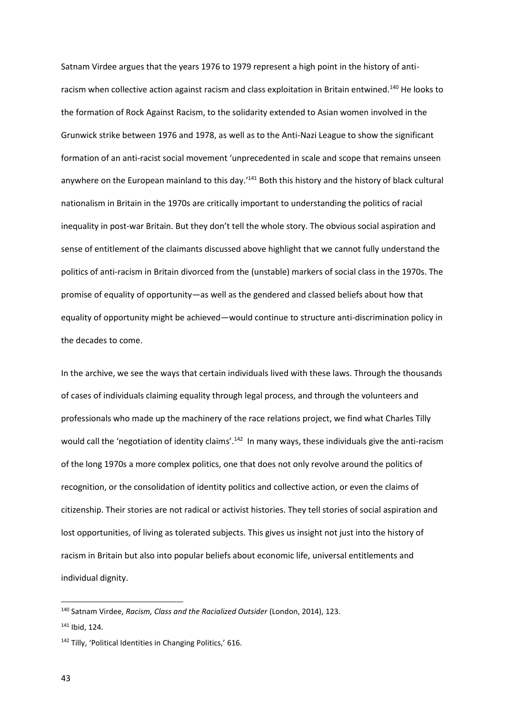Satnam Virdee argues that the years 1976 to 1979 represent a high point in the history of antiracism when collective action against racism and class exploitation in Britain entwined.<sup>140</sup> He looks to the formation of Rock Against Racism, to the solidarity extended to Asian women involved in the Grunwick strike between 1976 and 1978, as well as to the Anti-Nazi League to show the significant formation of an anti-racist social movement 'unprecedented in scale and scope that remains unseen anywhere on the European mainland to this day.<sup>141</sup> Both this history and the history of black cultural nationalism in Britain in the 1970s are critically important to understanding the politics of racial inequality in post-war Britain. But they don't tell the whole story. The obvious social aspiration and sense of entitlement of the claimants discussed above highlight that we cannot fully understand the politics of anti-racism in Britain divorced from the (unstable) markers of social class in the 1970s. The promise of equality of opportunity—as well as the gendered and classed beliefs about how that equality of opportunity might be achieved—would continue to structure anti-discrimination policy in the decades to come.

In the archive, we see the ways that certain individuals lived with these laws. Through the thousands of cases of individuals claiming equality through legal process, and through the volunteers and professionals who made up the machinery of the race relations project, we find what Charles Tilly would call the 'negotiation of identity claims'.<sup>142</sup> In many ways, these individuals give the anti-racism of the long 1970s a more complex politics, one that does not only revolve around the politics of recognition, or the consolidation of identity politics and collective action, or even the claims of citizenship. Their stories are not radical or activist histories. They tell stories of social aspiration and lost opportunities, of living as tolerated subjects. This gives us insight not just into the history of racism in Britain but also into popular beliefs about economic life, universal entitlements and individual dignity.

<sup>140</sup> Satnam Virdee, *Racism, Class and the Racialized Outsider* (London, 2014), 123.

<sup>141</sup> Ibid, 124.

<sup>142</sup> Tilly, 'Political Identities in Changing Politics,' 616.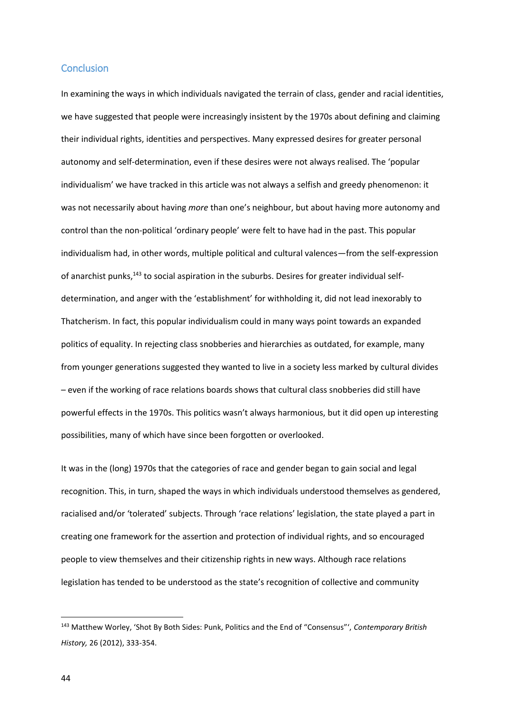## **Conclusion**

In examining the ways in which individuals navigated the terrain of class, gender and racial identities, we have suggested that people were increasingly insistent by the 1970s about defining and claiming their individual rights, identities and perspectives. Many expressed desires for greater personal autonomy and self-determination, even if these desires were not always realised. The 'popular individualism' we have tracked in this article was not always a selfish and greedy phenomenon: it was not necessarily about having *more* than one's neighbour, but about having more autonomy and control than the non-political 'ordinary people' were felt to have had in the past. This popular individualism had, in other words, multiple political and cultural valences—from the self-expression of anarchist punks,<sup>143</sup> to social aspiration in the suburbs. Desires for greater individual selfdetermination, and anger with the 'establishment' for withholding it, did not lead inexorably to Thatcherism. In fact, this popular individualism could in many ways point towards an expanded politics of equality. In rejecting class snobberies and hierarchies as outdated, for example, many from younger generations suggested they wanted to live in a society less marked by cultural divides – even if the working of race relations boards shows that cultural class snobberies did still have powerful effects in the 1970s. This politics wasn't always harmonious, but it did open up interesting possibilities, many of which have since been forgotten or overlooked.

It was in the (long) 1970s that the categories of race and gender began to gain social and legal recognition. This, in turn, shaped the ways in which individuals understood themselves as gendered, racialised and/or 'tolerated' subjects. Through 'race relations' legislation, the state played a part in creating one framework for the assertion and protection of individual rights, and so encouraged people to view themselves and their citizenship rights in new ways. Although race relations legislation has tended to be understood as the state's recognition of collective and community

<sup>143</sup> Matthew Worley, 'Shot By Both Sides: Punk, Politics and the End of "Consensus"', *Contemporary British History,* 26 (2012), 333-354.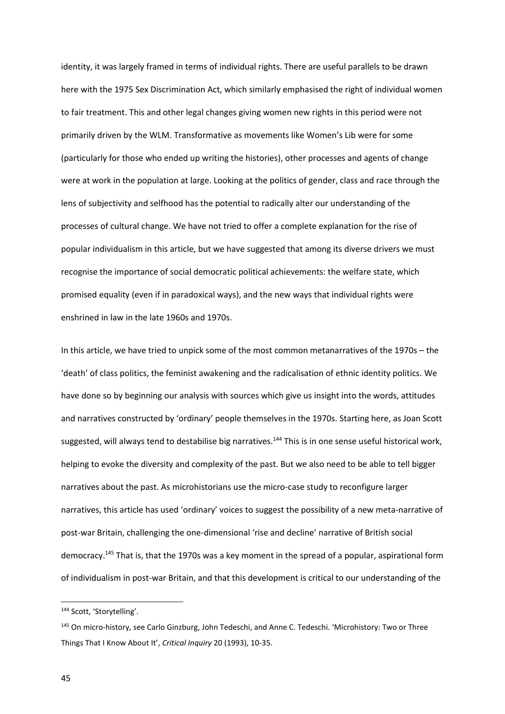identity, it was largely framed in terms of individual rights. There are useful parallels to be drawn here with the 1975 Sex Discrimination Act, which similarly emphasised the right of individual women to fair treatment. This and other legal changes giving women new rights in this period were not primarily driven by the WLM. Transformative as movements like Women's Lib were for some (particularly for those who ended up writing the histories), other processes and agents of change were at work in the population at large. Looking at the politics of gender, class and race through the lens of subjectivity and selfhood has the potential to radically alter our understanding of the processes of cultural change. We have not tried to offer a complete explanation for the rise of popular individualism in this article, but we have suggested that among its diverse drivers we must recognise the importance of social democratic political achievements: the welfare state, which promised equality (even if in paradoxical ways), and the new ways that individual rights were enshrined in law in the late 1960s and 1970s.

In this article, we have tried to unpick some of the most common metanarratives of the 1970s – the 'death' of class politics, the feminist awakening and the radicalisation of ethnic identity politics. We have done so by beginning our analysis with sources which give us insight into the words, attitudes and narratives constructed by 'ordinary' people themselves in the 1970s. Starting here, as Joan Scott suggested, will always tend to destabilise big narratives.<sup>144</sup> This is in one sense useful historical work, helping to evoke the diversity and complexity of the past. But we also need to be able to tell bigger narratives about the past. As microhistorians use the micro-case study to reconfigure larger narratives, this article has used 'ordinary' voices to suggest the possibility of a new meta-narrative of post-war Britain, challenging the one-dimensional 'rise and decline' narrative of British social democracy.<sup>145</sup> That is, that the 1970s was a key moment in the spread of a popular, aspirational form of individualism in post-war Britain, and that this development is critical to our understanding of the

<sup>144</sup> Scott, 'Storytelling'.

<sup>145</sup> On micro-history, see Carlo Ginzburg, John Tedeschi, and Anne C. Tedeschi. 'Microhistory: Two or Three Things That I Know About It', *Critical Inquiry* 20 (1993), 10-35.